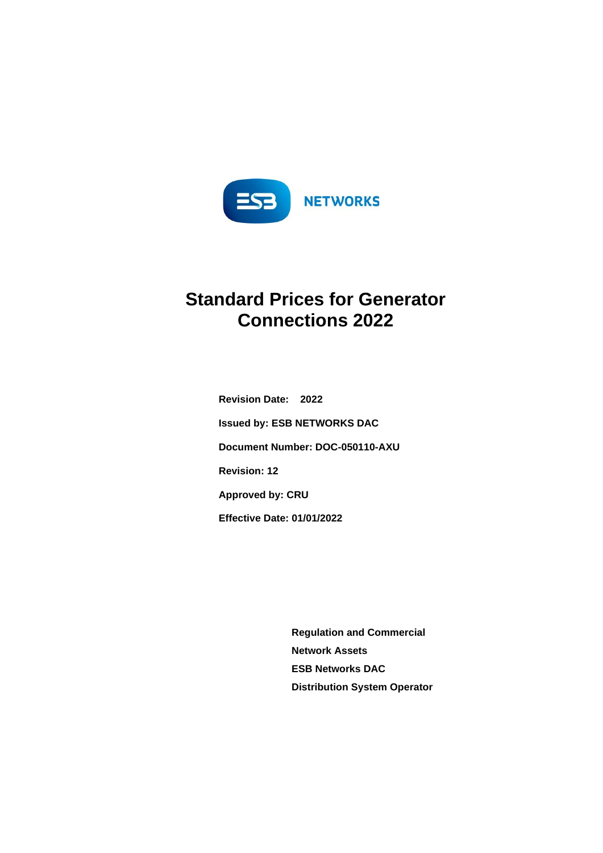

# **Standard Prices for Generator Connections 2022**

**Revision Date: 2022 Issued by: ESB NETWORKS DAC Document Number: DOC-050110-AXU Revision: 12 Approved by: CRU Effective Date: 01/01/2022**

> **Regulation and Commercial Network Assets ESB Networks DAC Distribution System Operator**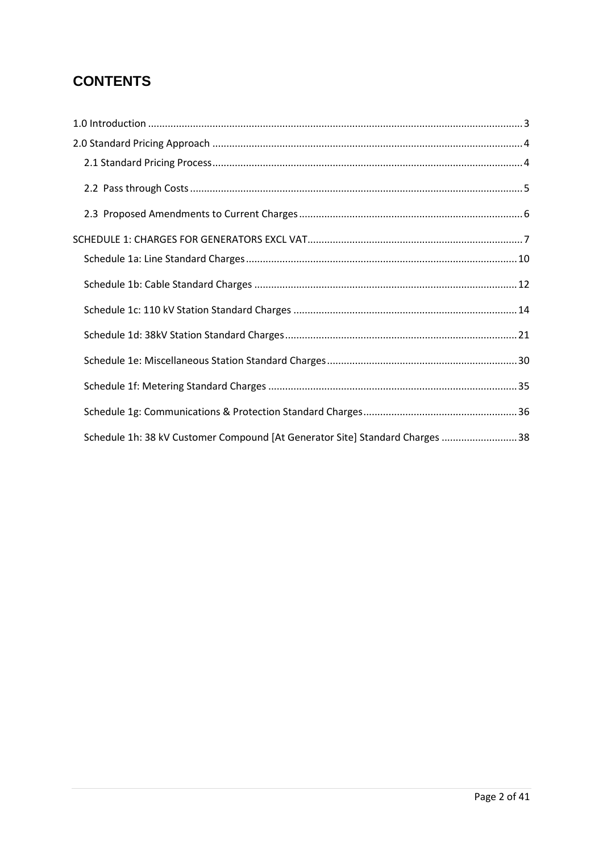# **CONTENTS**

<span id="page-1-0"></span>

| Schedule 1h: 38 kV Customer Compound [At Generator Site] Standard Charges  38 |  |
|-------------------------------------------------------------------------------|--|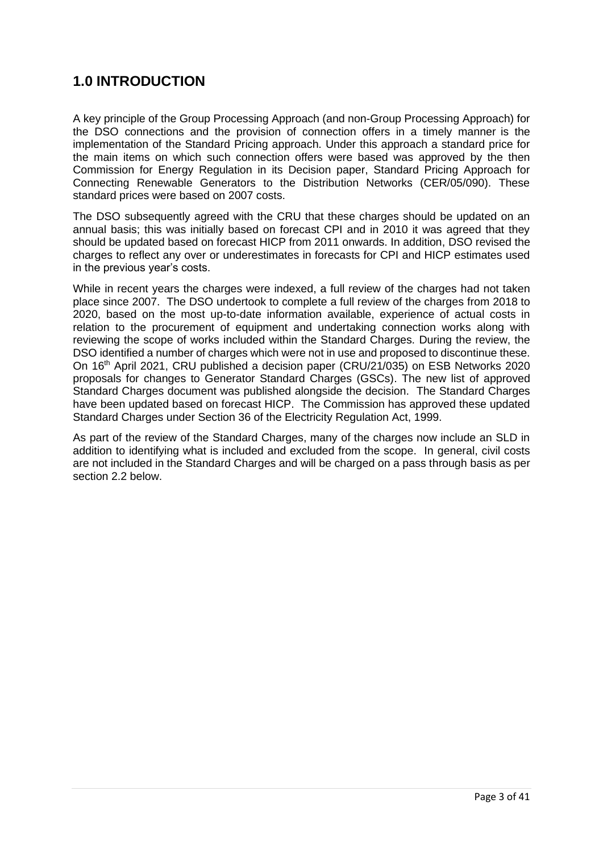# **1.0 INTRODUCTION**

A key principle of the Group Processing Approach (and non-Group Processing Approach) for the DSO connections and the provision of connection offers in a timely manner is the implementation of the Standard Pricing approach. Under this approach a standard price for the main items on which such connection offers were based was approved by the then Commission for Energy Regulation in its Decision paper, Standard Pricing Approach for Connecting Renewable Generators to the Distribution Networks (CER/05/090). These standard prices were based on 2007 costs.

The DSO subsequently agreed with the CRU that these charges should be updated on an annual basis; this was initially based on forecast CPI and in 2010 it was agreed that they should be updated based on forecast HICP from 2011 onwards. In addition, DSO revised the charges to reflect any over or underestimates in forecasts for CPI and HICP estimates used in the previous year's costs.

While in recent years the charges were indexed, a full review of the charges had not taken place since 2007. The DSO undertook to complete a full review of the charges from 2018 to 2020, based on the most up-to-date information available, experience of actual costs in relation to the procurement of equipment and undertaking connection works along with reviewing the scope of works included within the Standard Charges. During the review, the DSO identified a number of charges which were not in use and proposed to discontinue these. On 16th April 2021, CRU published a decision paper (CRU/21/035) on ESB Networks 2020 proposals for changes to Generator Standard Charges (GSCs). The new list of approved Standard Charges document was published alongside the decision. The Standard Charges have been updated based on forecast HICP. The Commission has approved these updated Standard Charges under Section 36 of the Electricity Regulation Act, 1999.

As part of the review of the Standard Charges, many of the charges now include an SLD in addition to identifying what is included and excluded from the scope. In general, civil costs are not included in the Standard Charges and will be charged on a pass through basis as per section 2.2 below.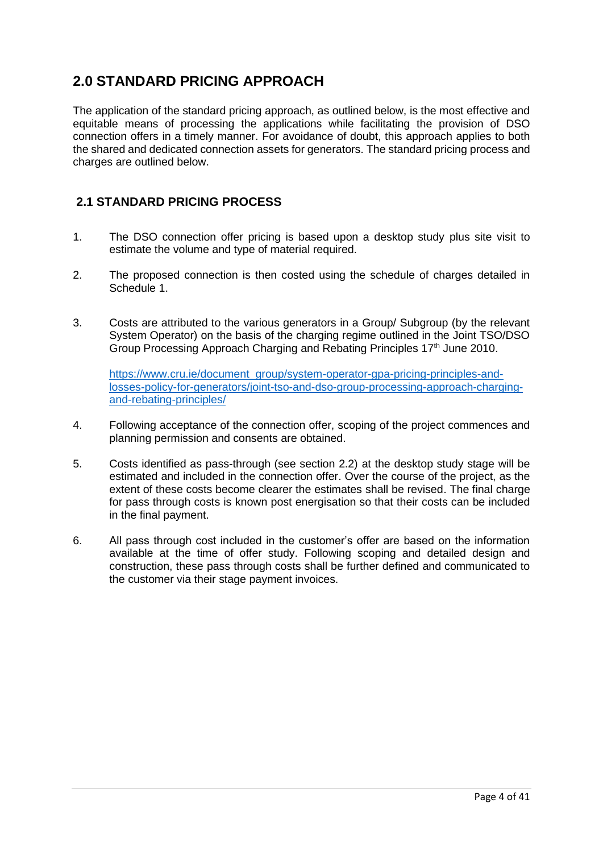# <span id="page-3-0"></span>**2.0 STANDARD PRICING APPROACH**

The application of the standard pricing approach, as outlined below, is the most effective and equitable means of processing the applications while facilitating the provision of DSO connection offers in a timely manner. For avoidance of doubt, this approach applies to both the shared and dedicated connection assets for generators. The standard pricing process and charges are outlined below.

# <span id="page-3-1"></span>**2.1 STANDARD PRICING PROCESS**

- 1. The DSO connection offer pricing is based upon a desktop study plus site visit to estimate the volume and type of material required.
- 2. The proposed connection is then costed using the schedule of charges detailed in Schedule 1.
- 3. Costs are attributed to the various generators in a Group/ Subgroup (by the relevant System Operator) on the basis of the charging regime outlined in the Joint TSO/DSO Group Processing Approach Charging and Rebating Principles 17<sup>th</sup> June 2010.

[https://www.cru.ie/document\\_group/system-operator-gpa-pricing-principles-and](https://www.cru.ie/document_group/system-operator-gpa-pricing-principles-and-losses-policy-for-generators/joint-tso-and-dso-group-processing-approach-charging-and-rebating-principles/)[losses-policy-for-generators/joint-tso-and-dso-group-processing-approach-charging](https://www.cru.ie/document_group/system-operator-gpa-pricing-principles-and-losses-policy-for-generators/joint-tso-and-dso-group-processing-approach-charging-and-rebating-principles/)[and-rebating-principles/](https://www.cru.ie/document_group/system-operator-gpa-pricing-principles-and-losses-policy-for-generators/joint-tso-and-dso-group-processing-approach-charging-and-rebating-principles/)

- 4. Following acceptance of the connection offer, scoping of the project commences and planning permission and consents are obtained.
- 5. Costs identified as pass-through (see section 2.2) at the desktop study stage will be estimated and included in the connection offer. Over the course of the project, as the extent of these costs become clearer the estimates shall be revised. The final charge for pass through costs is known post energisation so that their costs can be included in the final payment.
- 6. All pass through cost included in the customer's offer are based on the information available at the time of offer study. Following scoping and detailed design and construction, these pass through costs shall be further defined and communicated to the customer via their stage payment invoices.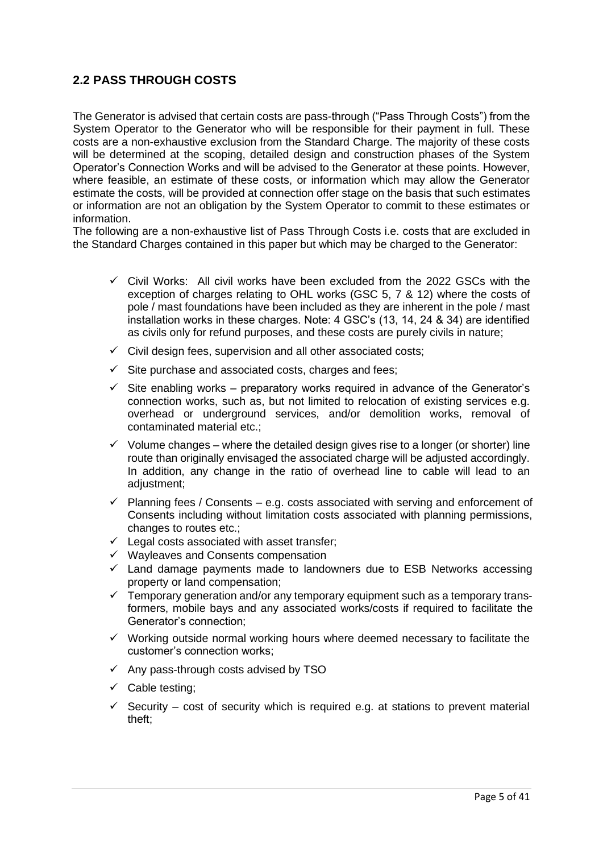# <span id="page-4-0"></span>**2.2 PASS THROUGH COSTS**

The Generator is advised that certain costs are pass-through ("Pass Through Costs") from the System Operator to the Generator who will be responsible for their payment in full. These costs are a non-exhaustive exclusion from the Standard Charge. The majority of these costs will be determined at the scoping, detailed design and construction phases of the System Operator's Connection Works and will be advised to the Generator at these points. However, where feasible, an estimate of these costs, or information which may allow the Generator estimate the costs, will be provided at connection offer stage on the basis that such estimates or information are not an obligation by the System Operator to commit to these estimates or information.

The following are a non-exhaustive list of Pass Through Costs i.e. costs that are excluded in the Standard Charges contained in this paper but which may be charged to the Generator:

- $\checkmark$  Civil Works: All civil works have been excluded from the 2022 GSCs with the exception of charges relating to OHL works (GSC 5, 7 & 12) where the costs of pole / mast foundations have been included as they are inherent in the pole / mast installation works in these charges. Note: 4 GSC's (13, 14, 24 & 34) are identified as civils only for refund purposes, and these costs are purely civils in nature;
- $\checkmark$  Civil design fees, supervision and all other associated costs;
- $\checkmark$  Site purchase and associated costs, charges and fees;
- $\checkmark$  Site enabling works preparatory works required in advance of the Generator's connection works, such as, but not limited to relocation of existing services e.g. overhead or underground services, and/or demolition works, removal of contaminated material etc.;
- $\checkmark$  Volume changes where the detailed design gives rise to a longer (or shorter) line route than originally envisaged the associated charge will be adjusted accordingly. In addition, any change in the ratio of overhead line to cable will lead to an adjustment;
- $\checkmark$  Planning fees / Consents e.g. costs associated with serving and enforcement of Consents including without limitation costs associated with planning permissions, changes to routes etc.;
- ✓ Legal costs associated with asset transfer;
- ✓ Wayleaves and Consents compensation
- ✓ Land damage payments made to landowners due to ESB Networks accessing property or land compensation;
- $\checkmark$  Temporary generation and/or any temporary equipment such as a temporary transformers, mobile bays and any associated works/costs if required to facilitate the Generator's connection;
- ✓ Working outside normal working hours where deemed necessary to facilitate the customer's connection works;
- $\checkmark$  Any pass-through costs advised by TSO
- ✓ Cable testing;
- $\checkmark$  Security cost of security which is required e.g. at stations to prevent material theft;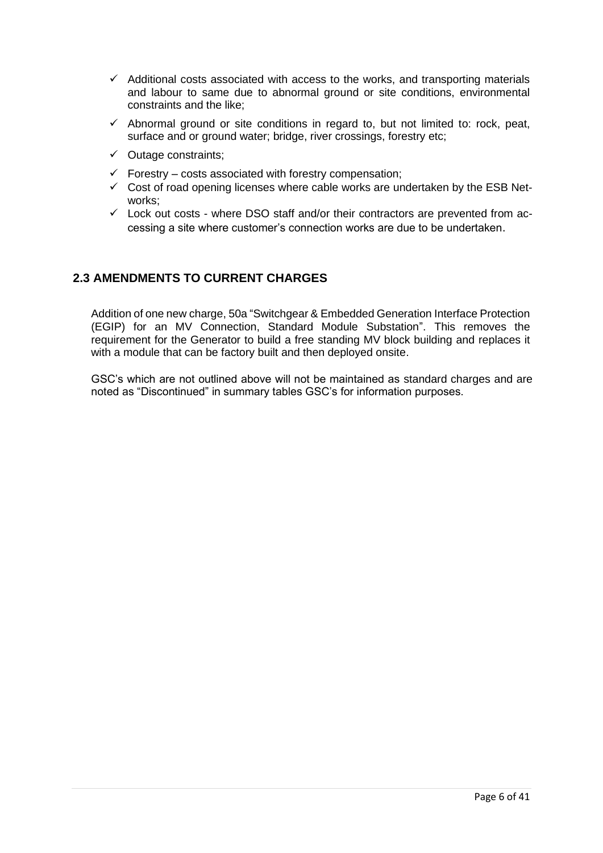- $\checkmark$  Additional costs associated with access to the works, and transporting materials and labour to same due to abnormal ground or site conditions, environmental constraints and the like;
- $\checkmark$  Abnormal ground or site conditions in regard to, but not limited to: rock, peat, surface and or ground water; bridge, river crossings, forestry etc;
- $\checkmark$  Outage constraints;
- $\checkmark$  Forestry costs associated with forestry compensation;
- $\checkmark$  Cost of road opening licenses where cable works are undertaken by the ESB Networks;
- $\checkmark$  Lock out costs where DSO staff and/or their contractors are prevented from accessing a site where customer's connection works are due to be undertaken.

# <span id="page-5-0"></span>**2.3 AMENDMENTS TO CURRENT CHARGES**

Addition of one new charge, 50a "Switchgear & Embedded Generation Interface Protection (EGIP) for an MV Connection, Standard Module Substation". This removes the requirement for the Generator to build a free standing MV block building and replaces it with a module that can be factory built and then deployed onsite.

GSC's which are not outlined above will not be maintained as standard charges and are noted as "Discontinued" in summary tables GSC's for information purposes.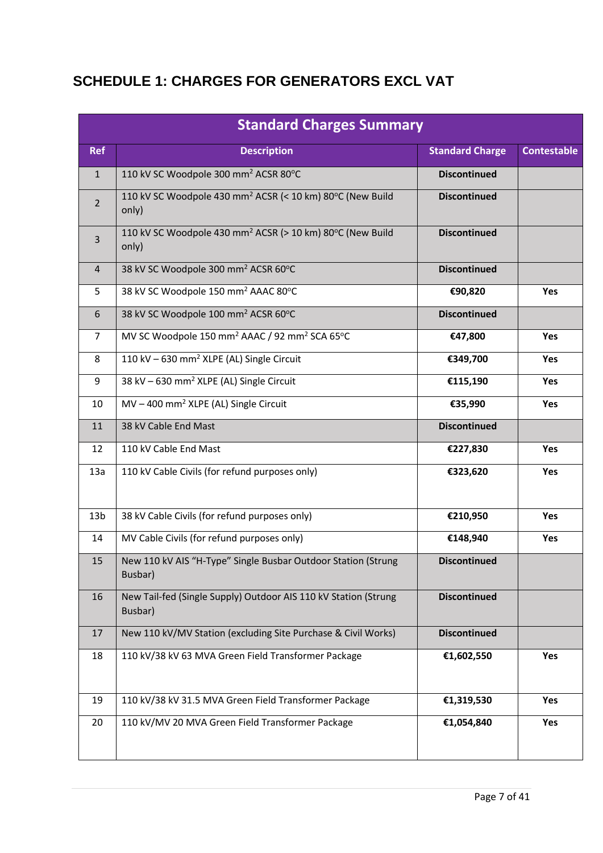# <span id="page-6-0"></span>**SCHEDULE 1: CHARGES FOR GENERATORS EXCL VAT**

|                 | <b>Standard Charges Summary</b>                                                |                        |                    |  |
|-----------------|--------------------------------------------------------------------------------|------------------------|--------------------|--|
| <b>Ref</b>      | <b>Description</b>                                                             | <b>Standard Charge</b> | <b>Contestable</b> |  |
| $\mathbf{1}$    | 110 kV SC Woodpole 300 mm <sup>2</sup> ACSR 80°C                               | <b>Discontinued</b>    |                    |  |
| $\overline{2}$  | 110 kV SC Woodpole 430 mm <sup>2</sup> ACSR (< 10 km) 80°C (New Build<br>only) | <b>Discontinued</b>    |                    |  |
| 3               | 110 kV SC Woodpole 430 mm <sup>2</sup> ACSR (> 10 km) 80°C (New Build<br>only) | <b>Discontinued</b>    |                    |  |
| $\overline{4}$  | 38 kV SC Woodpole 300 mm <sup>2</sup> ACSR 60°C                                | <b>Discontinued</b>    |                    |  |
| 5               | 38 kV SC Woodpole 150 mm <sup>2</sup> AAAC 80°C                                | €90,820                | Yes                |  |
| 6               | 38 kV SC Woodpole 100 mm <sup>2</sup> ACSR 60°C                                | <b>Discontinued</b>    |                    |  |
| $\overline{7}$  | MV SC Woodpole 150 mm <sup>2</sup> AAAC / 92 mm <sup>2</sup> SCA 65°C          | €47,800                | Yes                |  |
| 8               | 110 kV - 630 mm <sup>2</sup> XLPE (AL) Single Circuit                          | €349,700               | Yes                |  |
| 9               | 38 kV - 630 mm <sup>2</sup> XLPE (AL) Single Circuit                           | €115,190               | Yes                |  |
| 10              | MV-400 mm <sup>2</sup> XLPE (AL) Single Circuit                                | €35,990                | Yes                |  |
| 11              | 38 kV Cable End Mast                                                           | <b>Discontinued</b>    |                    |  |
| 12              | 110 kV Cable End Mast                                                          | €227,830               | Yes                |  |
| 13a             | 110 kV Cable Civils (for refund purposes only)                                 | €323,620               | Yes                |  |
| 13 <sub>b</sub> | 38 kV Cable Civils (for refund purposes only)                                  | €210,950               | Yes                |  |
| 14              | MV Cable Civils (for refund purposes only)                                     | €148,940               | Yes                |  |
| 15              | New 110 kV AIS "H-Type" Single Busbar Outdoor Station (Strung<br>Busbar)       | <b>Discontinued</b>    |                    |  |
| 16              | New Tail-fed (Single Supply) Outdoor AIS 110 kV Station (Strung<br>Busbar)     | <b>Discontinued</b>    |                    |  |
| 17              | New 110 kV/MV Station (excluding Site Purchase & Civil Works)                  | <b>Discontinued</b>    |                    |  |
| 18              | 110 kV/38 kV 63 MVA Green Field Transformer Package                            | €1,602,550             | Yes                |  |
| 19              | 110 kV/38 kV 31.5 MVA Green Field Transformer Package                          | €1,319,530             | Yes                |  |
| 20              | 110 kV/MV 20 MVA Green Field Transformer Package                               | €1,054,840             | Yes                |  |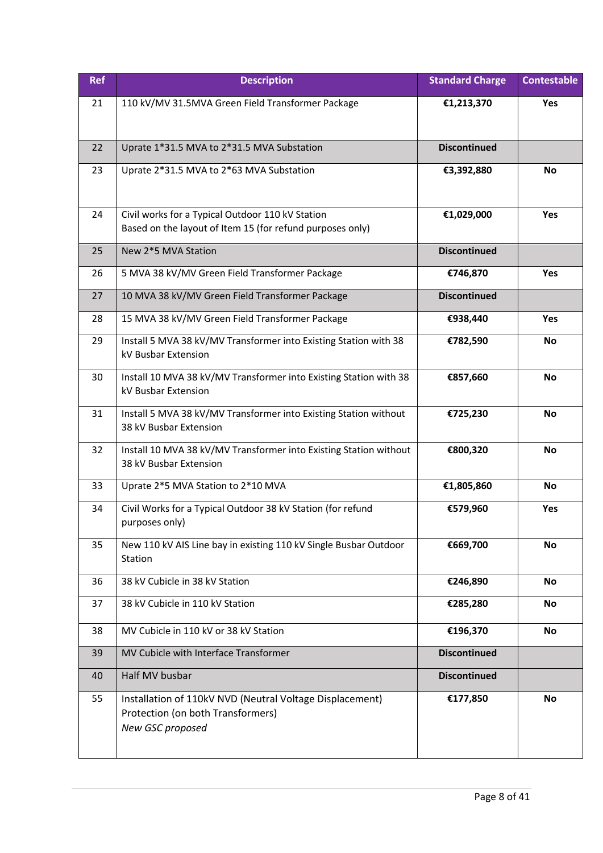| <b>Ref</b> | <b>Description</b>                                                                                                | <b>Standard Charge</b> | <b>Contestable</b> |
|------------|-------------------------------------------------------------------------------------------------------------------|------------------------|--------------------|
| 21         | 110 kV/MV 31.5MVA Green Field Transformer Package                                                                 | €1,213,370             | <b>Yes</b>         |
| 22         | Uprate 1*31.5 MVA to 2*31.5 MVA Substation                                                                        | <b>Discontinued</b>    |                    |
| 23         | Uprate 2*31.5 MVA to 2*63 MVA Substation                                                                          | €3,392,880             | <b>No</b>          |
| 24         | Civil works for a Typical Outdoor 110 kV Station<br>Based on the layout of Item 15 (for refund purposes only)     | €1,029,000             | <b>Yes</b>         |
| 25         | New 2*5 MVA Station                                                                                               | <b>Discontinued</b>    |                    |
| 26         | 5 MVA 38 kV/MV Green Field Transformer Package                                                                    | €746,870               | Yes                |
| 27         | 10 MVA 38 kV/MV Green Field Transformer Package                                                                   | <b>Discontinued</b>    |                    |
| 28         | 15 MVA 38 kV/MV Green Field Transformer Package                                                                   | €938,440               | Yes                |
| 29         | Install 5 MVA 38 kV/MV Transformer into Existing Station with 38<br>kV Busbar Extension                           | €782,590               | No                 |
| 30         | Install 10 MVA 38 kV/MV Transformer into Existing Station with 38<br>kV Busbar Extension                          | €857,660               | No                 |
| 31         | Install 5 MVA 38 kV/MV Transformer into Existing Station without<br>38 kV Busbar Extension                        | €725,230               | No                 |
| 32         | Install 10 MVA 38 kV/MV Transformer into Existing Station without<br>38 kV Busbar Extension                       | €800,320               | No                 |
| 33         | Uprate 2*5 MVA Station to 2*10 MVA                                                                                | €1,805,860             | No                 |
| 34         | Civil Works for a Typical Outdoor 38 kV Station (for refund<br>purposes only)                                     | €579,960               | Yes                |
| 35         | New 110 kV AIS Line bay in existing 110 kV Single Busbar Outdoor<br>Station                                       | €669,700               | <b>No</b>          |
| 36         | 38 kV Cubicle in 38 kV Station                                                                                    | €246,890               | <b>No</b>          |
| 37         | 38 kV Cubicle in 110 kV Station                                                                                   | €285,280               | No                 |
| 38         | MV Cubicle in 110 kV or 38 kV Station                                                                             | €196,370               | <b>No</b>          |
| 39         | MV Cubicle with Interface Transformer                                                                             | <b>Discontinued</b>    |                    |
| 40         | Half MV busbar                                                                                                    | <b>Discontinued</b>    |                    |
| 55         | Installation of 110kV NVD (Neutral Voltage Displacement)<br>Protection (on both Transformers)<br>New GSC proposed | €177,850               | <b>No</b>          |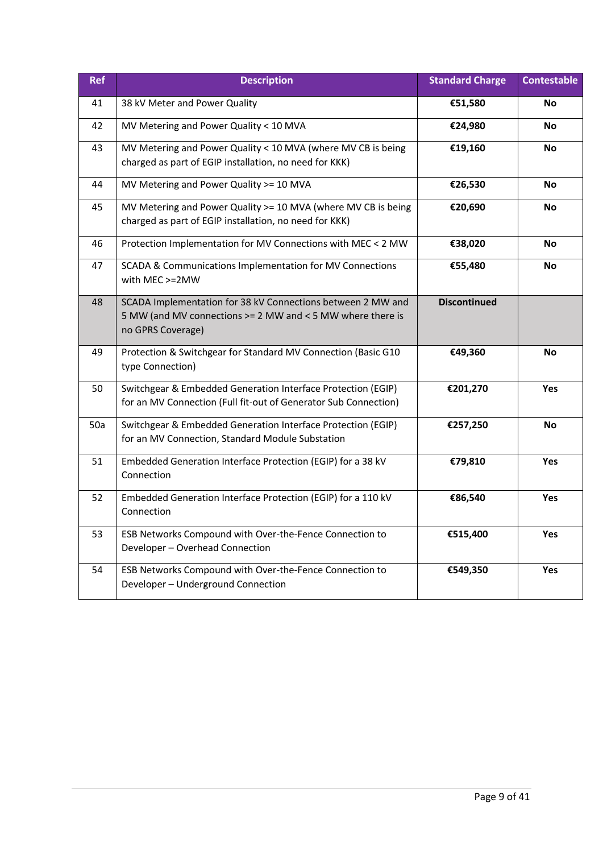| <b>Ref</b> | <b>Description</b>                                                                                                                             | <b>Standard Charge</b> | <b>Contestable</b> |
|------------|------------------------------------------------------------------------------------------------------------------------------------------------|------------------------|--------------------|
| 41         | 38 kV Meter and Power Quality                                                                                                                  | €51,580                | No                 |
| 42         | MV Metering and Power Quality < 10 MVA                                                                                                         | €24,980                | <b>No</b>          |
| 43         | MV Metering and Power Quality < 10 MVA (where MV CB is being<br>charged as part of EGIP installation, no need for KKK)                         | €19,160                | <b>No</b>          |
| 44         | MV Metering and Power Quality >= 10 MVA                                                                                                        | €26,530                | <b>No</b>          |
| 45         | MV Metering and Power Quality >= 10 MVA (where MV CB is being<br>charged as part of EGIP installation, no need for KKK)                        | €20,690                | No                 |
| 46         | Protection Implementation for MV Connections with MEC < 2 MW                                                                                   | €38,020                | <b>No</b>          |
| 47         | SCADA & Communications Implementation for MV Connections<br>with MEC >=2MW                                                                     | €55,480                | No                 |
| 48         | SCADA Implementation for 38 kV Connections between 2 MW and<br>5 MW (and MV connections >= 2 MW and < 5 MW where there is<br>no GPRS Coverage) | <b>Discontinued</b>    |                    |
| 49         | Protection & Switchgear for Standard MV Connection (Basic G10<br>type Connection)                                                              | €49,360                | <b>No</b>          |
| 50         | Switchgear & Embedded Generation Interface Protection (EGIP)<br>for an MV Connection (Full fit-out of Generator Sub Connection)                | €201,270               | Yes                |
| 50a        | Switchgear & Embedded Generation Interface Protection (EGIP)<br>for an MV Connection, Standard Module Substation                               | €257,250               | No                 |
| 51         | Embedded Generation Interface Protection (EGIP) for a 38 kV<br>Connection                                                                      | €79,810                | Yes                |
| 52         | Embedded Generation Interface Protection (EGIP) for a 110 kV<br>Connection                                                                     | €86,540                | Yes                |
| 53         | ESB Networks Compound with Over-the-Fence Connection to<br>Developer - Overhead Connection                                                     | €515,400               | <b>Yes</b>         |
| 54         | ESB Networks Compound with Over-the-Fence Connection to<br>Developer - Underground Connection                                                  | €549,350               | Yes                |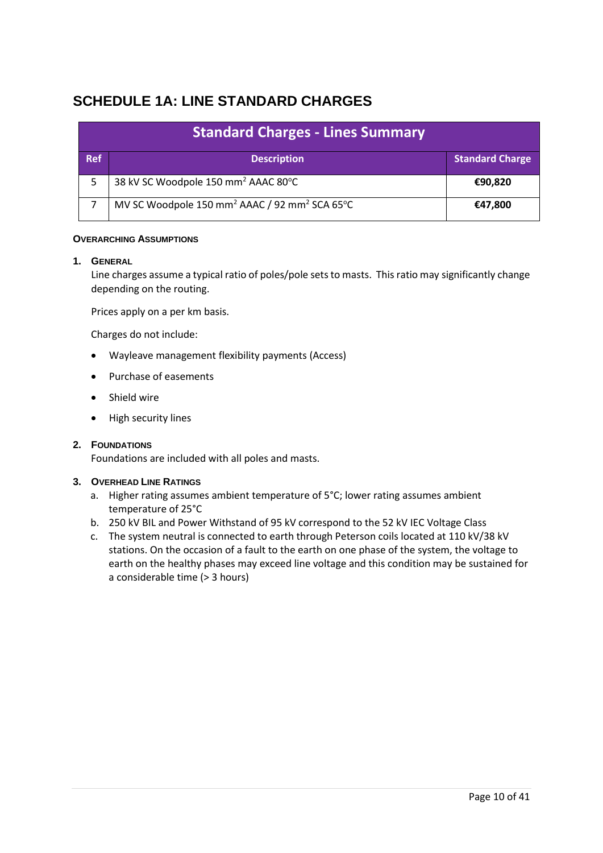# <span id="page-9-0"></span>**SCHEDULE 1A: LINE STANDARD CHARGES**

| <b>Standard Charges - Lines Summary</b> |                                                                       |                        |
|-----------------------------------------|-----------------------------------------------------------------------|------------------------|
| <b>Ref</b>                              | <b>Description</b>                                                    | <b>Standard Charge</b> |
|                                         | 38 kV SC Woodpole 150 mm <sup>2</sup> AAAC 80°C                       | €90,820                |
|                                         | MV SC Woodpole 150 mm <sup>2</sup> AAAC / 92 mm <sup>2</sup> SCA 65°C | €47,800                |

#### **OVERARCHING ASSUMPTIONS**

#### **1. GENERAL**

Line charges assume a typical ratio of poles/pole sets to masts. This ratio may significantly change depending on the routing.

Prices apply on a per km basis.

Charges do not include:

- Wayleave management flexibility payments (Access)
- Purchase of easements
- Shield wire
- High security lines

#### **2. FOUNDATIONS**

Foundations are included with all poles and masts.

#### **3. OVERHEAD LINE RATINGS**

- a. Higher rating assumes ambient temperature of 5°C; lower rating assumes ambient temperature of 25°C
- b. 250 kV BIL and Power Withstand of 95 kV correspond to the 52 kV IEC Voltage Class
- c. The system neutral is connected to earth through Peterson coils located at 110 kV/38 kV stations. On the occasion of a fault to the earth on one phase of the system, the voltage to earth on the healthy phases may exceed line voltage and this condition may be sustained for a considerable time (> 3 hours)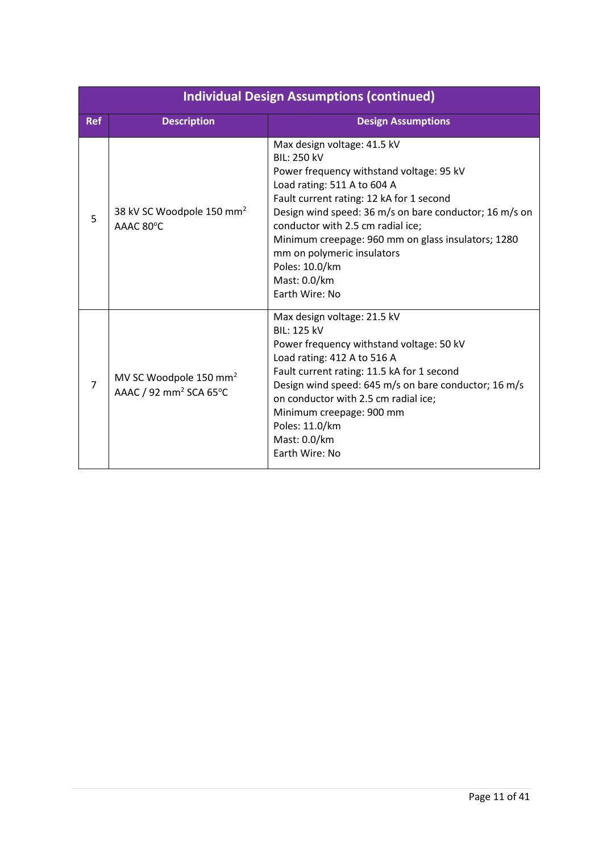|            | <b>Individual Design Assumptions (continued)</b>                         |                                                                                                                                                                                                                                                                                                                                                                                                                 |  |  |
|------------|--------------------------------------------------------------------------|-----------------------------------------------------------------------------------------------------------------------------------------------------------------------------------------------------------------------------------------------------------------------------------------------------------------------------------------------------------------------------------------------------------------|--|--|
| <b>Ref</b> | <b>Description</b>                                                       | <b>Design Assumptions</b>                                                                                                                                                                                                                                                                                                                                                                                       |  |  |
| 5          | 38 kV SC Woodpole 150 mm <sup>2</sup><br>AAAC 80°C                       | Max design voltage: 41.5 kV<br><b>BIL: 250 kV</b><br>Power frequency withstand voltage: 95 kV<br>Load rating: 511 A to 604 A<br>Fault current rating: 12 kA for 1 second<br>Design wind speed: 36 m/s on bare conductor; 16 m/s on<br>conductor with 2.5 cm radial ice;<br>Minimum creepage: 960 mm on glass insulators; 1280<br>mm on polymeric insulators<br>Poles: 10.0/km<br>Mast: 0.0/km<br>Earth Wire: No |  |  |
| 7          | MV SC Woodpole 150 mm <sup>2</sup><br>AAAC / 92 mm <sup>2</sup> SCA 65°C | Max design voltage: 21.5 kV<br><b>BIL: 125 kV</b><br>Power frequency withstand voltage: 50 kV<br>Load rating: 412 A to 516 A<br>Fault current rating: 11.5 kA for 1 second<br>Design wind speed: 645 m/s on bare conductor; 16 m/s<br>on conductor with 2.5 cm radial ice;<br>Minimum creepage: 900 mm<br>Poles: 11.0/km<br>Mast: 0.0/km<br>Earth Wire: No                                                      |  |  |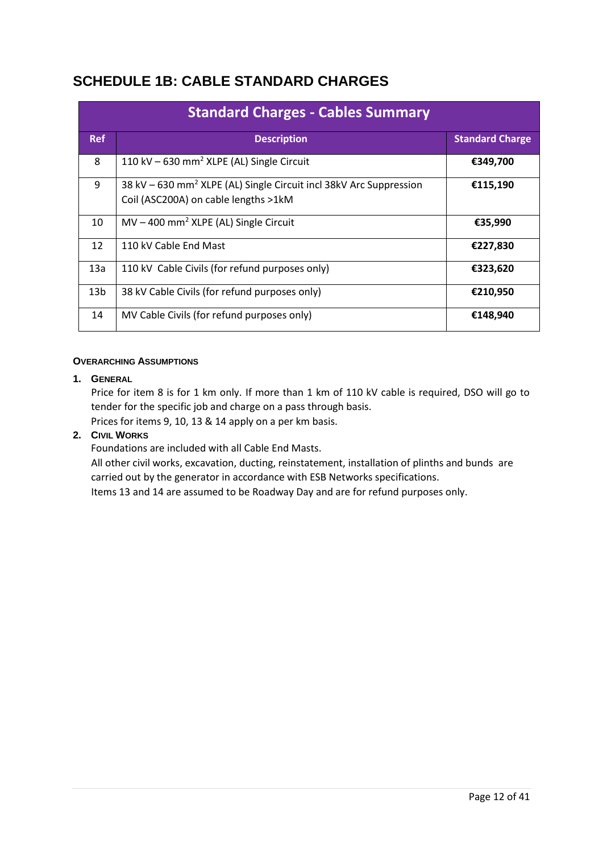# <span id="page-11-0"></span>**SCHEDULE 1B: CABLE STANDARD CHARGES**

| <b>Standard Charges - Cables Summary</b> |                                                                                                                        |                        |  |
|------------------------------------------|------------------------------------------------------------------------------------------------------------------------|------------------------|--|
| <b>Ref</b>                               | <b>Description</b>                                                                                                     | <b>Standard Charge</b> |  |
| 8                                        | 110 kV $-630$ mm <sup>2</sup> XLPE (AL) Single Circuit                                                                 | €349,700               |  |
| 9                                        | 38 kV - 630 mm <sup>2</sup> XLPE (AL) Single Circuit incl 38kV Arc Suppression<br>Coil (ASC200A) on cable lengths >1kM | €115,190               |  |
| 10                                       | $MV - 400$ mm <sup>2</sup> XLPE (AL) Single Circuit                                                                    | €35,990                |  |
| 12                                       | 110 kV Cable End Mast                                                                                                  | €227,830               |  |
| 13a                                      | 110 kV Cable Civils (for refund purposes only)                                                                         | €323,620               |  |
| 13 <sub>b</sub>                          | 38 kV Cable Civils (for refund purposes only)                                                                          | €210,950               |  |
| 14                                       | MV Cable Civils (for refund purposes only)                                                                             | €148,940               |  |

#### **OVERARCHING ASSUMPTIONS**

#### **1. GENERAL**

Price for item 8 is for 1 km only. If more than 1 km of 110 kV cable is required, DSO will go to tender for the specific job and charge on a pass through basis.

Prices for items 9, 10, 13 & 14 apply on a per km basis.

### **2. CIVIL WORKS**

Foundations are included with all Cable End Masts.

All other civil works, excavation, ducting, reinstatement, installation of plinths and bunds are carried out by the generator in accordance with ESB Networks specifications.

Items 13 and 14 are assumed to be Roadway Day and are for refund purposes only.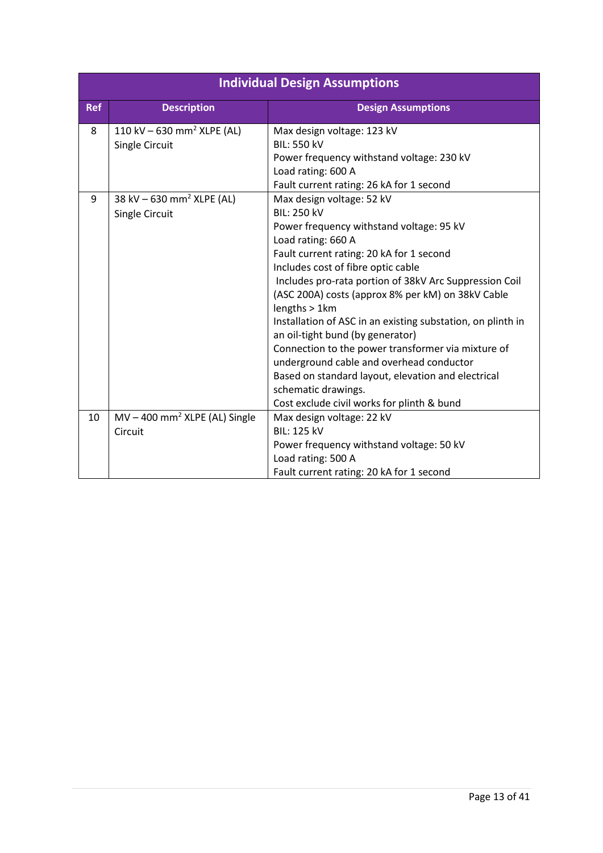|            | <b>Individual Design Assumptions</b>        |                                                                                                 |  |  |  |
|------------|---------------------------------------------|-------------------------------------------------------------------------------------------------|--|--|--|
| <b>Ref</b> | <b>Description</b>                          | <b>Design Assumptions</b>                                                                       |  |  |  |
| 8          | 110 kV $-630$ mm <sup>2</sup> XLPE (AL)     | Max design voltage: 123 kV                                                                      |  |  |  |
|            | Single Circuit                              | <b>BIL: 550 kV</b>                                                                              |  |  |  |
|            |                                             | Power frequency withstand voltage: 230 kV                                                       |  |  |  |
|            |                                             | Load rating: 600 A                                                                              |  |  |  |
|            |                                             | Fault current rating: 26 kA for 1 second                                                        |  |  |  |
| 9          | 38 kV $-630$ mm <sup>2</sup> XLPE (AL)      | Max design voltage: 52 kV                                                                       |  |  |  |
|            | Single Circuit                              | <b>BIL: 250 kV</b>                                                                              |  |  |  |
|            |                                             | Power frequency withstand voltage: 95 kV                                                        |  |  |  |
|            |                                             | Load rating: 660 A                                                                              |  |  |  |
|            |                                             | Fault current rating: 20 kA for 1 second                                                        |  |  |  |
|            |                                             | Includes cost of fibre optic cable                                                              |  |  |  |
|            |                                             | Includes pro-rata portion of 38kV Arc Suppression Coil                                          |  |  |  |
|            |                                             | (ASC 200A) costs (approx 8% per kM) on 38kV Cable<br>lengths > 1km                              |  |  |  |
|            |                                             | Installation of ASC in an existing substation, on plinth in<br>an oil-tight bund (by generator) |  |  |  |
|            |                                             | Connection to the power transformer via mixture of                                              |  |  |  |
|            |                                             | underground cable and overhead conductor                                                        |  |  |  |
|            |                                             | Based on standard layout, elevation and electrical                                              |  |  |  |
|            |                                             | schematic drawings.                                                                             |  |  |  |
|            |                                             | Cost exclude civil works for plinth & bund                                                      |  |  |  |
| 10         | $MV - 400$ mm <sup>2</sup> XLPE (AL) Single | Max design voltage: 22 kV                                                                       |  |  |  |
|            | Circuit                                     | <b>BIL: 125 kV</b>                                                                              |  |  |  |
|            |                                             | Power frequency withstand voltage: 50 kV                                                        |  |  |  |
|            |                                             | Load rating: 500 A                                                                              |  |  |  |
|            |                                             | Fault current rating: 20 kA for 1 second                                                        |  |  |  |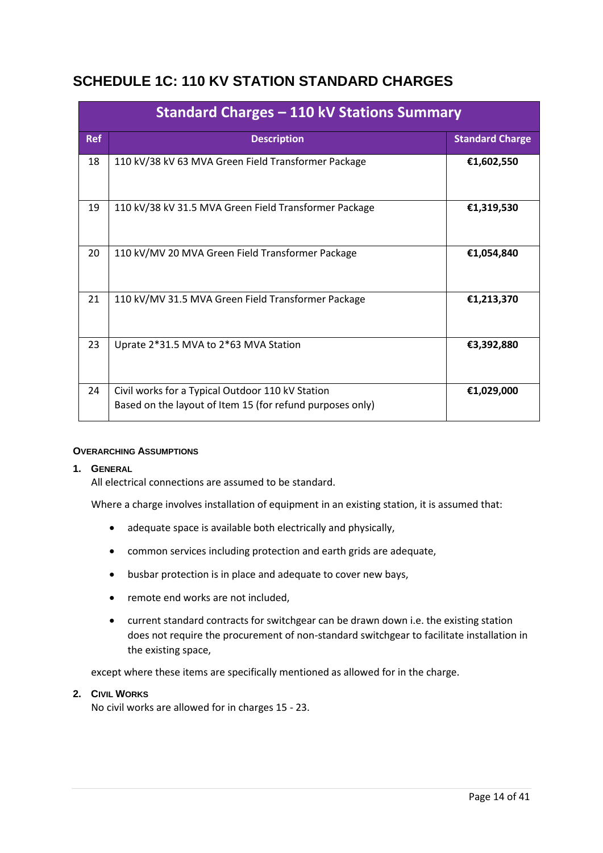# <span id="page-13-0"></span>**SCHEDULE 1C: 110 KV STATION STANDARD CHARGES**

| Standard Charges - 110 kV Stations Summary |                                                                                                               |                        |  |
|--------------------------------------------|---------------------------------------------------------------------------------------------------------------|------------------------|--|
| <b>Ref</b>                                 | <b>Description</b>                                                                                            | <b>Standard Charge</b> |  |
| 18                                         | 110 kV/38 kV 63 MVA Green Field Transformer Package                                                           | €1,602,550             |  |
| 19                                         | 110 kV/38 kV 31.5 MVA Green Field Transformer Package                                                         | €1,319,530             |  |
| 20                                         | 110 kV/MV 20 MVA Green Field Transformer Package                                                              | €1,054,840             |  |
| 21                                         | 110 kV/MV 31.5 MVA Green Field Transformer Package                                                            | €1,213,370             |  |
| 23                                         | Uprate 2*31.5 MVA to 2*63 MVA Station                                                                         | €3,392,880             |  |
| 24                                         | Civil works for a Typical Outdoor 110 kV Station<br>Based on the layout of Item 15 (for refund purposes only) | €1,029,000             |  |

#### **OVERARCHING ASSUMPTIONS**

#### **1. GENERAL**

All electrical connections are assumed to be standard.

Where a charge involves installation of equipment in an existing station, it is assumed that:

- adequate space is available both electrically and physically,
- common services including protection and earth grids are adequate,
- busbar protection is in place and adequate to cover new bays,
- remote end works are not included.
- current standard contracts for switchgear can be drawn down i.e. the existing station does not require the procurement of non-standard switchgear to facilitate installation in the existing space,

except where these items are specifically mentioned as allowed for in the charge.

#### **2. CIVIL WORKS**

No civil works are allowed for in charges 15 - 23.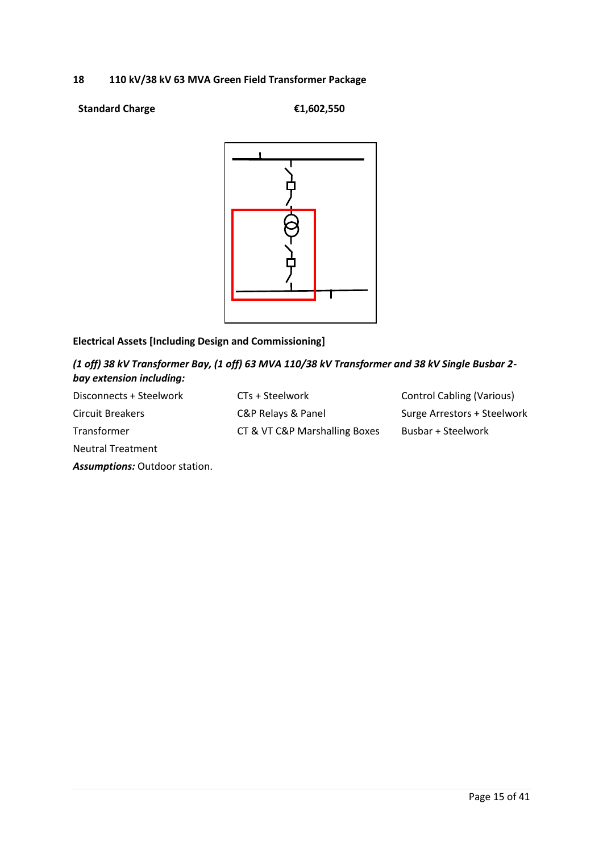#### **18 110 kV/38 kV 63 MVA Green Field Transformer Package**

#### **Standard Charge €1,602,550**



### **Electrical Assets [Including Design and Commissioning]**

### *(1 off) 38 kV Transformer Bay, (1 off) 63 MVA 110/38 kV Transformer and 38 kV Single Busbar 2 bay extension including:*

Disconnects + Steelwork Circuit Breakers Transformer Neutral Treatment

*Assumptions:* Outdoor station.

CTs + Steelwork C&P Relays & Panel CT & VT C&P Marshalling Boxes Control Cabling (Various) Surge Arrestors + Steelwork Busbar + Steelwork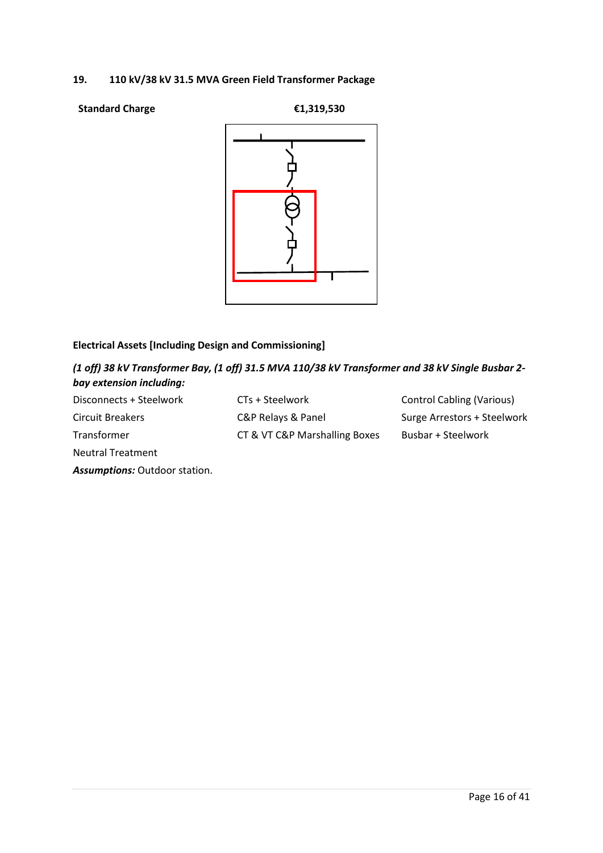#### **19. 110 kV/38 kV 31.5 MVA Green Field Transformer Package**

#### **Standard Charge €1,319,530**



### **Electrical Assets [Including Design and Commissioning]**

*(1 off) 38 kV Transformer Bay, (1 off) 31.5 MVA 110/38 kV Transformer and 38 kV Single Busbar 2 bay extension including:*

| Disconnects + Steelwork  | CTs + Steelwork               | <b>Control Cabling (Various)</b> |
|--------------------------|-------------------------------|----------------------------------|
| Circuit Breakers         | C&P Relays & Panel            | Surge Arrestors + Steelwork      |
| Transformer              | CT & VT C&P Marshalling Boxes | Busbar + Steelwork               |
| <b>Neutral Treatment</b> |                               |                                  |

*Assumptions:* Outdoor station.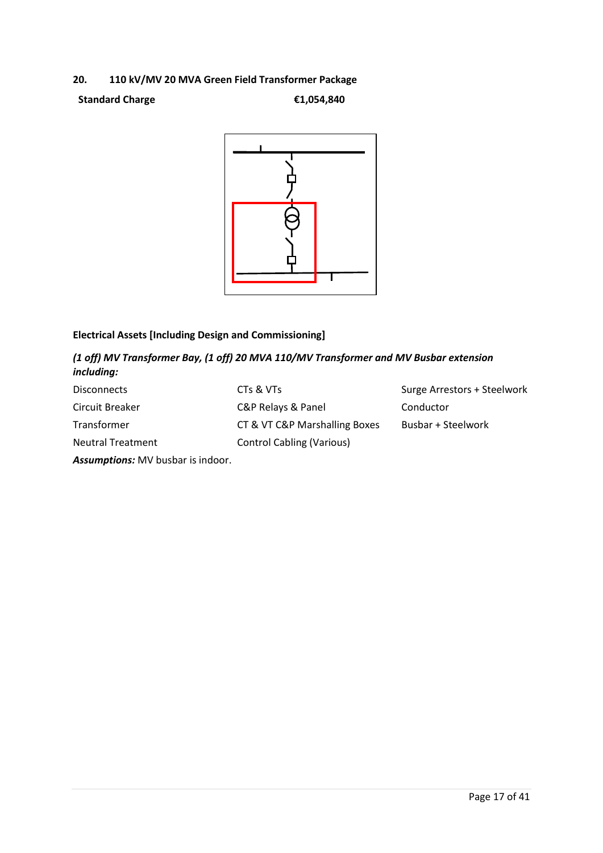### **20. 110 kV/MV 20 MVA Green Field Transformer Package**

**Standard Charge €1,054,840**



# **Electrical Assets [Including Design and Commissioning]**

### *(1 off) MV Transformer Bay, (1 off) 20 MVA 110/MV Transformer and MV Busbar extension including:*

| <b>Disconnects</b>       | CTs & VTs                        | Surge Arrestors + Steelwork |
|--------------------------|----------------------------------|-----------------------------|
| Circuit Breaker          | C&P Relays & Panel               | Conductor                   |
| Transformer              | CT & VT C&P Marshalling Boxes    | Busbar + Steelwork          |
| <b>Neutral Treatment</b> | <b>Control Cabling (Various)</b> |                             |

*Assumptions:* MV busbar is indoor.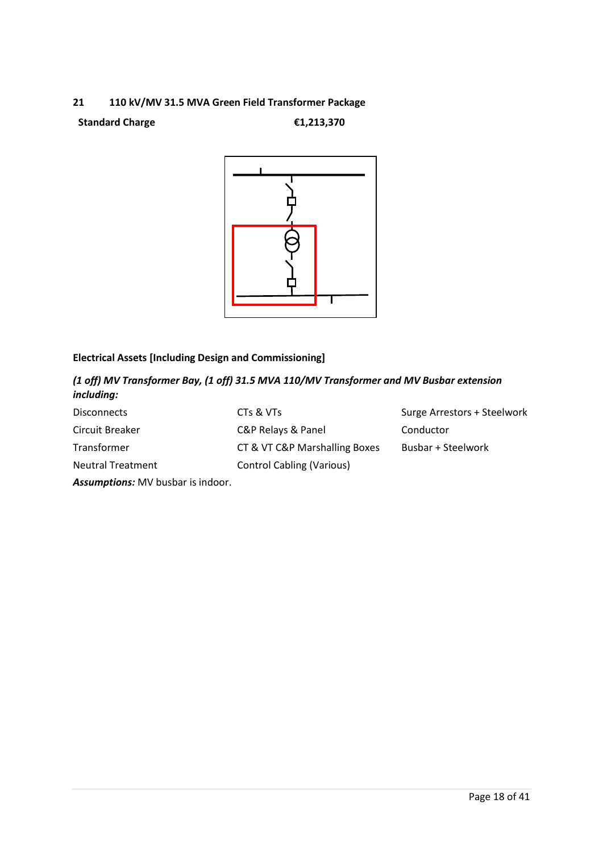#### **21 110 kV/MV 31.5 MVA Green Field Transformer Package**

#### **Standard Charge €1,213,370**



# **Electrical Assets [Including Design and Commissioning]**

*(1 off) MV Transformer Bay, (1 off) 31.5 MVA 110/MV Transformer and MV Busbar extension including:*

| <b>Disconnects</b>       | CTs & VTs                        | Surge Arrestors + Steelwork |
|--------------------------|----------------------------------|-----------------------------|
| Circuit Breaker          | C&P Relays & Panel               | Conductor                   |
| Transformer              | CT & VT C&P Marshalling Boxes    | Busbar + Steelwork          |
| <b>Neutral Treatment</b> | <b>Control Cabling (Various)</b> |                             |
|                          |                                  |                             |

*Assumptions:* MV busbar is indoor.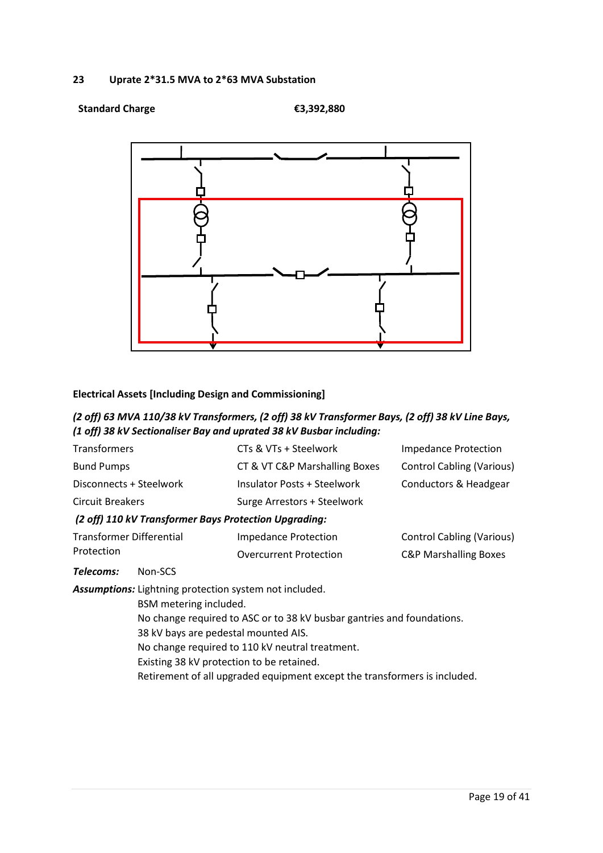#### **23 Uprate 2\*31.5 MVA to 2\*63 MVA Substation**

#### **Standard Charge €3,392,880**



### **Electrical Assets [Including Design and Commissioning]**

### *(2 off) 63 MVA 110/38 kV Transformers, (2 off) 38 kV Transformer Bays, (2 off) 38 kV Line Bays, (1 off) 38 kV Sectionaliser Bay and uprated 38 kV Busbar including:*

| Transformers                                           |                                                                        | CTs & VTs + Steelwork              | <b>Impedance Protection</b>      |  |
|--------------------------------------------------------|------------------------------------------------------------------------|------------------------------------|----------------------------------|--|
| <b>Bund Pumps</b>                                      |                                                                        | CT & VT C&P Marshalling Boxes      | <b>Control Cabling (Various)</b> |  |
| Disconnects + Steelwork                                |                                                                        | <b>Insulator Posts + Steelwork</b> | Conductors & Headgear            |  |
| <b>Circuit Breakers</b>                                |                                                                        | Surge Arrestors + Steelwork        |                                  |  |
|                                                        | (2 off) 110 kV Transformer Bays Protection Upgrading:                  |                                    |                                  |  |
| Transformer Differential                               |                                                                        | <b>Impedance Protection</b>        | <b>Control Cabling (Various)</b> |  |
| Protection                                             |                                                                        | <b>Overcurrent Protection</b>      | <b>C&amp;P Marshalling Boxes</b> |  |
| Telecoms:                                              | Non-SCS                                                                |                                    |                                  |  |
| Assumptions: Lightning protection system not included. |                                                                        |                                    |                                  |  |
|                                                        | BSM metering included.                                                 |                                    |                                  |  |
|                                                        | No change required to ASC or to 38 kV busbar gantries and foundations. |                                    |                                  |  |

- 38 kV bays are pedestal mounted AIS.
- No change required to 110 kV neutral treatment.
- Existing 38 kV protection to be retained.
- Retirement of all upgraded equipment except the transformers is included.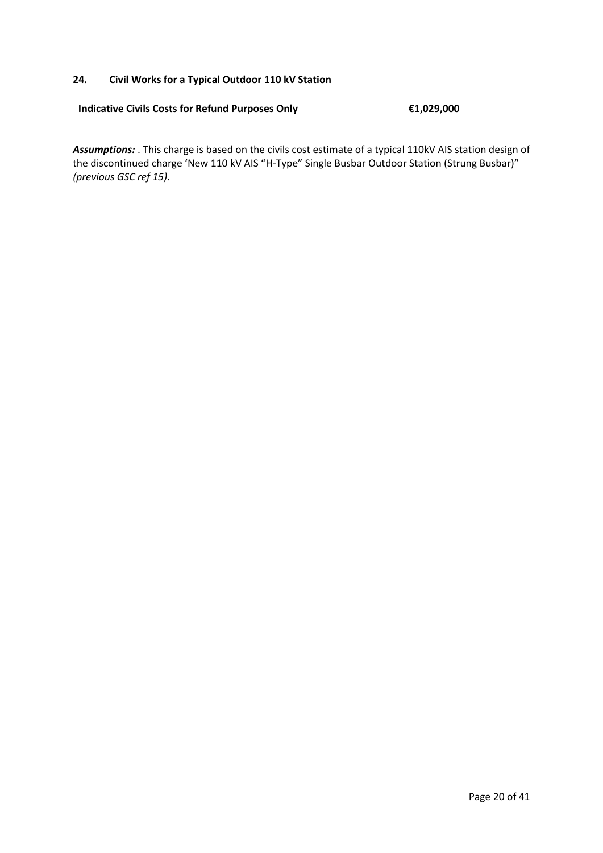#### **24. Civil Works for a Typical Outdoor 110 kV Station**

#### **Indicative Civils Costs for Refund Purposes Only €1,029,000**

*Assumptions:* . This charge is based on the civils cost estimate of a typical 110kV AIS station design of the discontinued charge 'New 110 kV AIS "H-Type" Single Busbar Outdoor Station (Strung Busbar)" *(previous GSC ref 15)*.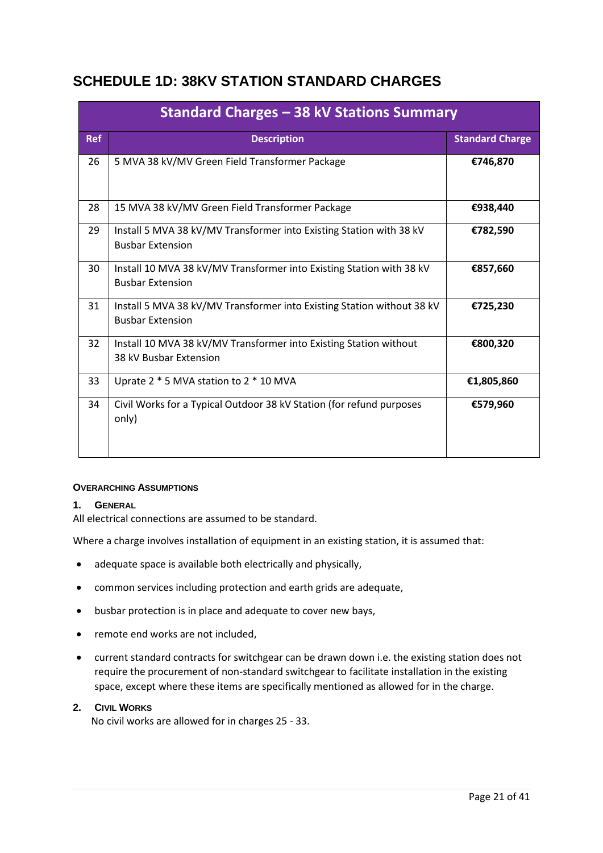# <span id="page-20-0"></span>**SCHEDULE 1D: 38KV STATION STANDARD CHARGES**

|            | Standard Charges – 38 kV Stations Summary                                                         |                        |  |  |
|------------|---------------------------------------------------------------------------------------------------|------------------------|--|--|
| <b>Ref</b> | <b>Description</b>                                                                                | <b>Standard Charge</b> |  |  |
| 26         | 5 MVA 38 kV/MV Green Field Transformer Package                                                    | €746,870               |  |  |
| 28         | 15 MVA 38 kV/MV Green Field Transformer Package                                                   | €938,440               |  |  |
| 29         | Install 5 MVA 38 kV/MV Transformer into Existing Station with 38 kV<br><b>Busbar Extension</b>    | €782,590               |  |  |
| 30         | Install 10 MVA 38 kV/MV Transformer into Existing Station with 38 kV<br><b>Busbar Extension</b>   | €857,660               |  |  |
| 31         | Install 5 MVA 38 kV/MV Transformer into Existing Station without 38 kV<br><b>Busbar Extension</b> | €725,230               |  |  |
| 32         | Install 10 MVA 38 kV/MV Transformer into Existing Station without<br>38 kV Busbar Extension       | €800,320               |  |  |
| 33         | Uprate 2 * 5 MVA station to 2 * 10 MVA                                                            | €1,805,860             |  |  |
| 34         | Civil Works for a Typical Outdoor 38 kV Station (for refund purposes<br>only)                     | €579,960               |  |  |

#### **OVERARCHING ASSUMPTIONS**

#### **1. GENERAL**

All electrical connections are assumed to be standard.

Where a charge involves installation of equipment in an existing station, it is assumed that:

- adequate space is available both electrically and physically,
- common services including protection and earth grids are adequate,
- busbar protection is in place and adequate to cover new bays,
- remote end works are not included,
- current standard contracts for switchgear can be drawn down i.e. the existing station does not require the procurement of non-standard switchgear to facilitate installation in the existing space, except where these items are specifically mentioned as allowed for in the charge.

#### **2. CIVIL WORKS**

No civil works are allowed for in charges 25 - 33.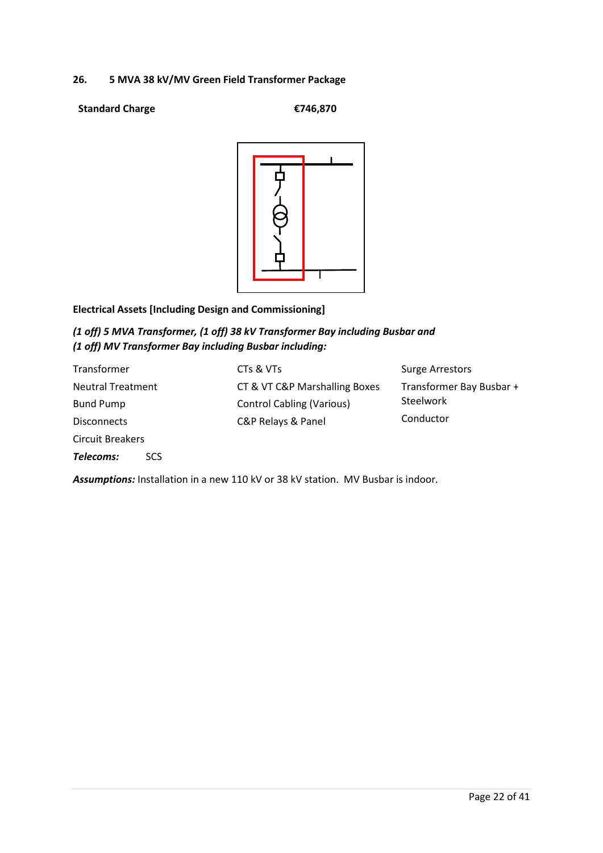#### **26. 5 MVA 38 kV/MV Green Field Transformer Package**

#### **Standard Charge €746,870**



### **Electrical Assets [Including Design and Commissioning]**

### *(1 off) 5 MVA Transformer, (1 off) 38 kV Transformer Bay including Busbar and (1 off) MV Transformer Bay including Busbar including:*

| Transformer              | CTs & VTs                        | <b>Surge Arrestors</b>   |
|--------------------------|----------------------------------|--------------------------|
| <b>Neutral Treatment</b> | CT & VT C&P Marshalling Boxes    | Transformer Bay Busbar + |
| <b>Bund Pump</b>         | <b>Control Cabling (Various)</b> | Steelwork                |
| <b>Disconnects</b>       | C&P Relays & Panel               | Conductor                |
| <b>Circuit Breakers</b>  |                                  |                          |
| Telecoms:<br>SCS.        |                                  |                          |

*Assumptions:* Installation in a new 110 kV or 38 kV station. MV Busbar is indoor.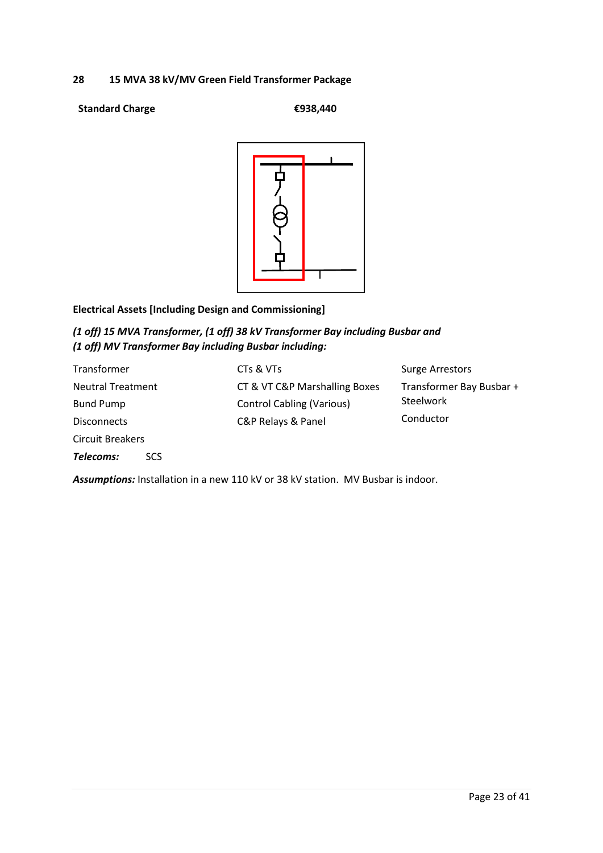#### **28 15 MVA 38 kV/MV Green Field Transformer Package**

#### **Standard Charge €938,440**



### **Electrical Assets [Including Design and Commissioning]**

### *(1 off) 15 MVA Transformer, (1 off) 38 kV Transformer Bay including Busbar and (1 off) MV Transformer Bay including Busbar including:*

| Transformer              | CTs & VTs                        | <b>Surge Arrestors</b>   |
|--------------------------|----------------------------------|--------------------------|
| <b>Neutral Treatment</b> | CT & VT C&P Marshalling Boxes    | Transformer Bay Busbar + |
| <b>Bund Pump</b>         | <b>Control Cabling (Various)</b> | Steelwork                |
| <b>Disconnects</b>       | C&P Relays & Panel               | Conductor                |
| <b>Circuit Breakers</b>  |                                  |                          |
| Telecoms:<br>SCS.        |                                  |                          |

*Assumptions:* Installation in a new 110 kV or 38 kV station. MV Busbar is indoor.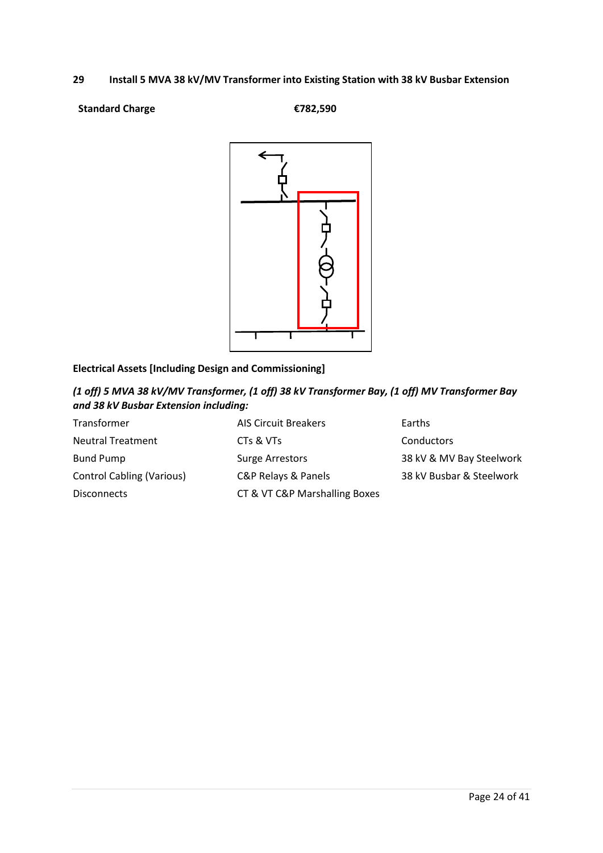#### **29 Install 5 MVA 38 kV/MV Transformer into Existing Station with 38 kV Busbar Extension**

#### **Standard Charge €782,590**



# **Electrical Assets [Including Design and Commissioning]**

*(1 off) 5 MVA 38 kV/MV Transformer, (1 off) 38 kV Transformer Bay, (1 off) MV Transformer Bay and 38 kV Busbar Extension including:*

| Transformer                      | <b>AIS Circuit Breakers</b>   | Earths                   |
|----------------------------------|-------------------------------|--------------------------|
| <b>Neutral Treatment</b>         | CTs & VTs                     | Conductors               |
| <b>Bund Pump</b>                 | <b>Surge Arrestors</b>        | 38 kV & MV Bay Steelwork |
| <b>Control Cabling (Various)</b> | C&P Relays & Panels           | 38 kV Busbar & Steelwork |
| <b>Disconnects</b>               | CT & VT C&P Marshalling Boxes |                          |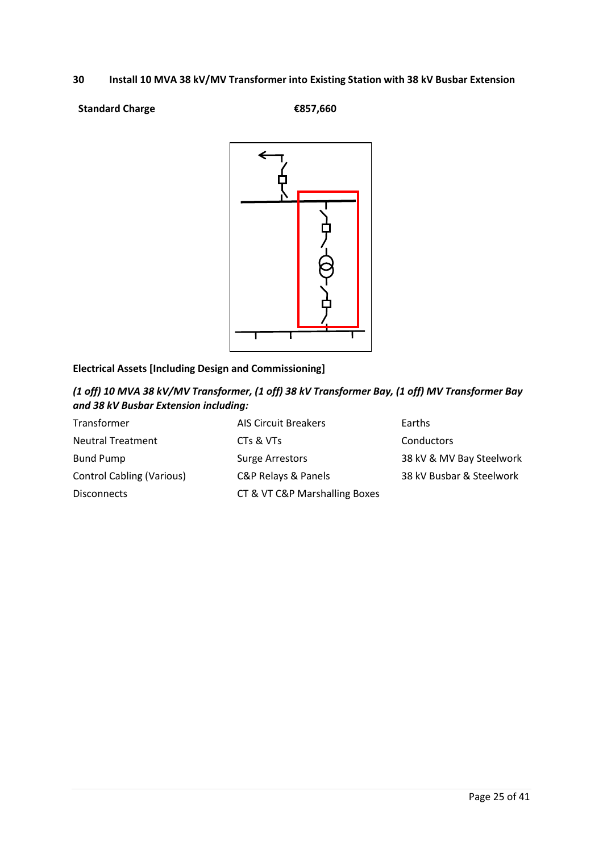#### **30 Install 10 MVA 38 kV/MV Transformer into Existing Station with 38 kV Busbar Extension**

#### **Standard Charge €857,660**



# **Electrical Assets [Including Design and Commissioning]**

*(1 off) 10 MVA 38 kV/MV Transformer, (1 off) 38 kV Transformer Bay, (1 off) MV Transformer Bay and 38 kV Busbar Extension including:*

| <b>AIS Circuit Breakers</b>   | Earths                   |
|-------------------------------|--------------------------|
| CTs & VTs                     | Conductors               |
| <b>Surge Arrestors</b>        | 38 kV & MV Bay Steelwork |
| C&P Relays & Panels           | 38 kV Busbar & Steelwork |
| CT & VT C&P Marshalling Boxes |                          |
|                               |                          |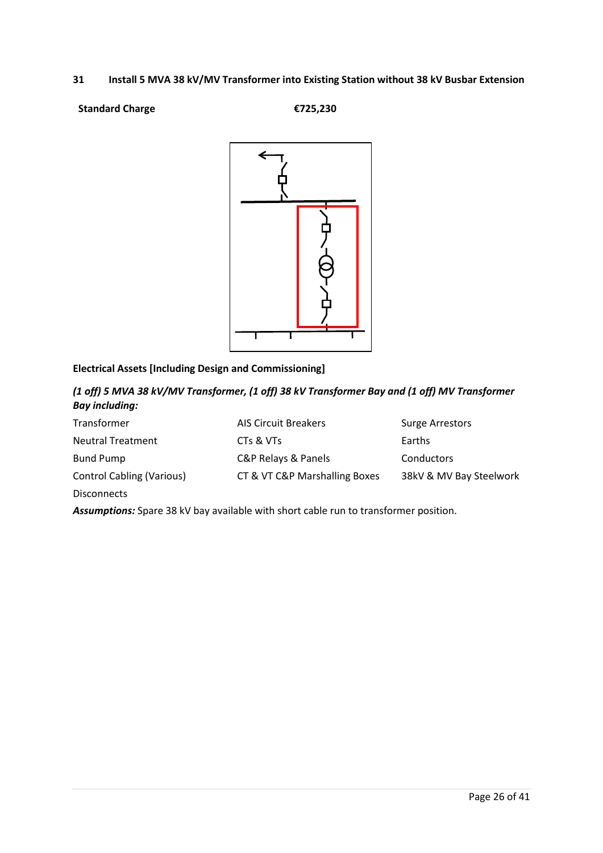#### **31 Install 5 MVA 38 kV/MV Transformer into Existing Station without 38 kV Busbar Extension**

#### **Standard Charge €725,230**



# **Electrical Assets [Including Design and Commissioning]**

*(1 off) 5 MVA 38 kV/MV Transformer, (1 off) 38 kV Transformer Bay and (1 off) MV Transformer Bay including:*

| Transformer                      | <b>AIS Circuit Breakers</b>   | <b>Surge Arrestors</b>  |
|----------------------------------|-------------------------------|-------------------------|
| <b>Neutral Treatment</b>         | CTs & VTs                     | Earths                  |
| <b>Bund Pump</b>                 | C&P Relays & Panels           | Conductors              |
| <b>Control Cabling (Various)</b> | CT & VT C&P Marshalling Boxes | 38kV & MV Bay Steelwork |
| <b>Disconnects</b>               |                               |                         |

*Assumptions:* Spare 38 kV bay available with short cable run to transformer position.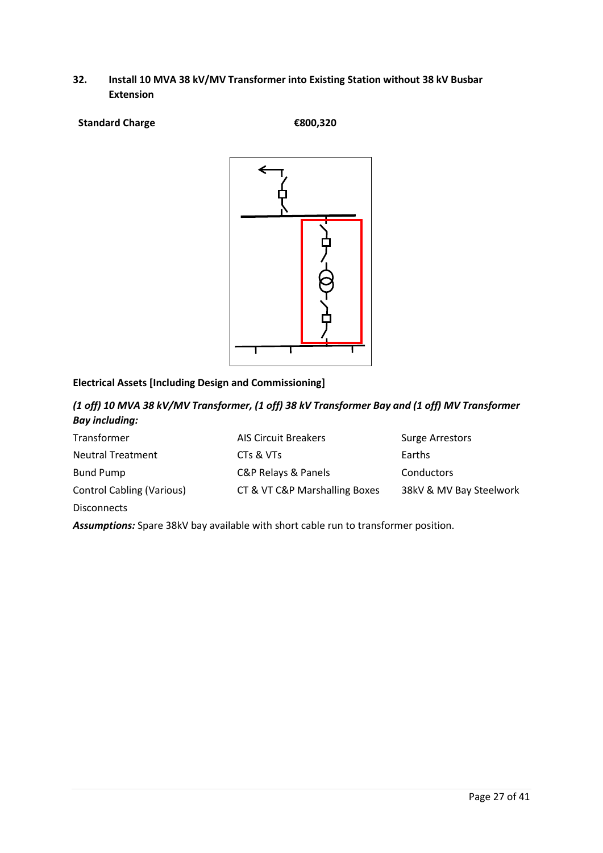#### **32. Install 10 MVA 38 kV/MV Transformer into Existing Station without 38 kV Busbar Extension**

**Standard Charge €800,320**



### **Electrical Assets [Including Design and Commissioning]**

*(1 off) 10 MVA 38 kV/MV Transformer, (1 off) 38 kV Transformer Bay and (1 off) MV Transformer Bay including:*

| Transformer                      | <b>AIS Circuit Breakers</b>   | <b>Surge Arrestors</b>  |
|----------------------------------|-------------------------------|-------------------------|
| <b>Neutral Treatment</b>         | CTs & VTs                     | Earths                  |
| <b>Bund Pump</b>                 | C&P Relays & Panels           | <b>Conductors</b>       |
| <b>Control Cabling (Various)</b> | CT & VT C&P Marshalling Boxes | 38kV & MV Bay Steelwork |
| <b>Disconnects</b>               |                               |                         |

*Assumptions:* Spare 38kV bay available with short cable run to transformer position.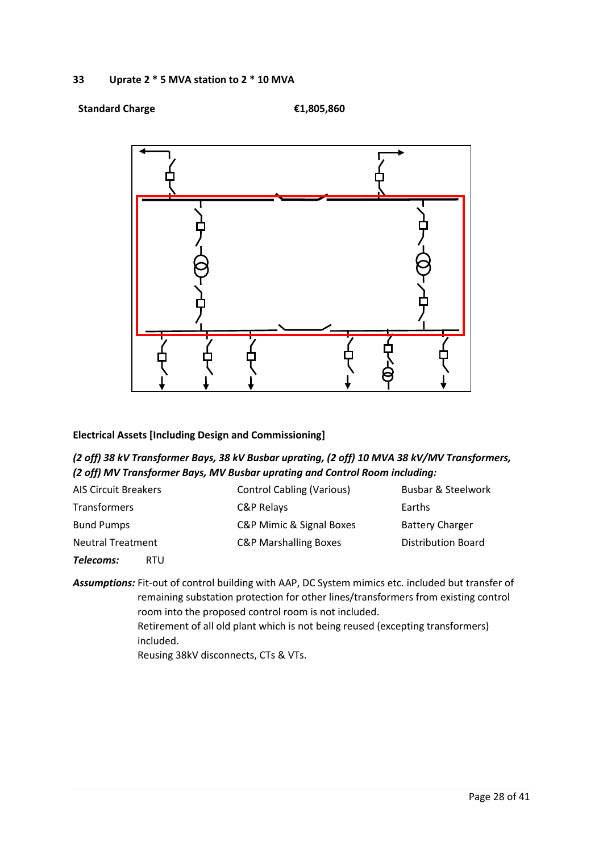#### **Standard Charge €1,805,860**



#### **Electrical Assets [Including Design and Commissioning]**

### *(2 off) 38 kV Transformer Bays, 38 kV Busbar uprating, (2 off) 10 MVA 38 kV/MV Transformers, (2 off) MV Transformer Bays, MV Busbar uprating and Control Room including:*

| <b>AIS Circuit Breakers</b> | <b>Control Cabling (Various)</b> | <b>Busbar &amp; Steelwork</b> |
|-----------------------------|----------------------------------|-------------------------------|
| <b>Transformers</b>         | C&P Relays                       | Earths                        |
| <b>Bund Pumps</b>           | C&P Mimic & Signal Boxes         | <b>Battery Charger</b>        |
| <b>Neutral Treatment</b>    | <b>C&amp;P Marshalling Boxes</b> | Distribution Board            |

*Telecoms:* RTU

*Assumptions:* Fit-out of control building with AAP, DC System mimics etc. included but transfer of remaining substation protection for other lines/transformers from existing control room into the proposed control room is not included.

> Retirement of all old plant which is not being reused (excepting transformers) included.

Reusing 38kV disconnects, CTs & VTs.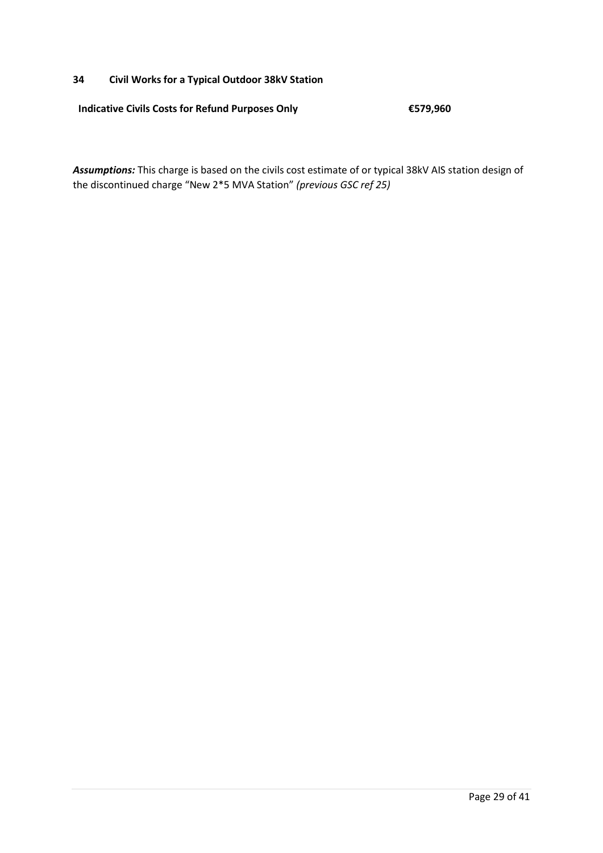#### **34 Civil Works for a Typical Outdoor 38kV Station**

**Indicative Civils Costs for Refund Purposes Only €579,960**

*Assumptions:* This charge is based on the civils cost estimate of or typical 38kV AIS station design of the discontinued charge "New 2\*5 MVA Station" *(previous GSC ref 25)*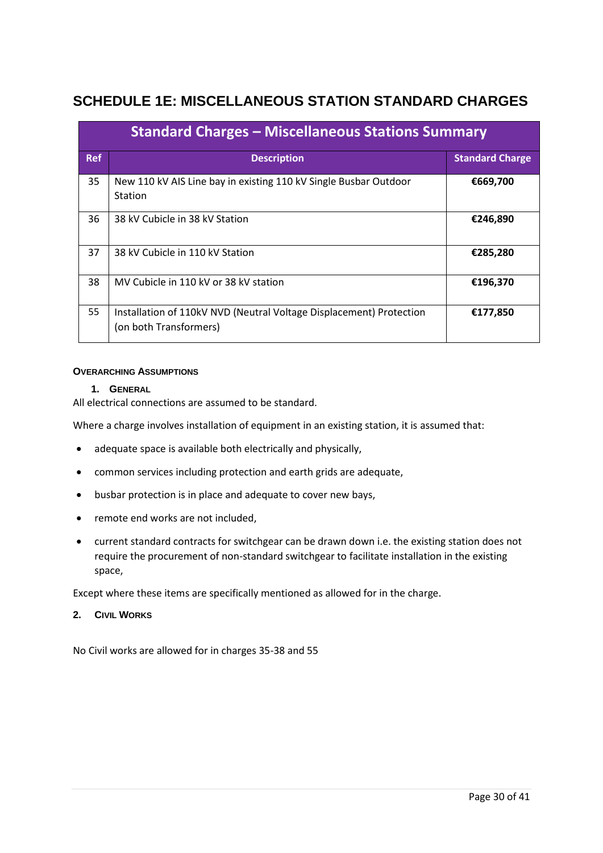# <span id="page-29-0"></span>**SCHEDULE 1E: MISCELLANEOUS STATION STANDARD CHARGES**

| <b>Standard Charges – Miscellaneous Stations Summary</b> |                                                                                               |                        |  |
|----------------------------------------------------------|-----------------------------------------------------------------------------------------------|------------------------|--|
| <b>Ref</b>                                               | <b>Description</b>                                                                            | <b>Standard Charge</b> |  |
| 35                                                       | New 110 kV AIS Line bay in existing 110 kV Single Busbar Outdoor<br><b>Station</b>            | €669,700               |  |
| 36                                                       | 38 kV Cubicle in 38 kV Station                                                                | €246,890               |  |
| 37                                                       | 38 kV Cubicle in 110 kV Station                                                               | €285,280               |  |
| 38                                                       | MV Cubicle in 110 kV or 38 kV station                                                         | €196,370               |  |
| 55                                                       | Installation of 110kV NVD (Neutral Voltage Displacement) Protection<br>(on both Transformers) | €177,850               |  |

#### **OVERARCHING ASSUMPTIONS**

#### **1. GENERAL**

All electrical connections are assumed to be standard.

Where a charge involves installation of equipment in an existing station, it is assumed that:

- adequate space is available both electrically and physically,
- common services including protection and earth grids are adequate,
- busbar protection is in place and adequate to cover new bays,
- remote end works are not included,
- current standard contracts for switchgear can be drawn down i.e. the existing station does not require the procurement of non-standard switchgear to facilitate installation in the existing space,

Except where these items are specifically mentioned as allowed for in the charge.

#### **2. CIVIL WORKS**

No Civil works are allowed for in charges 35-38 and 55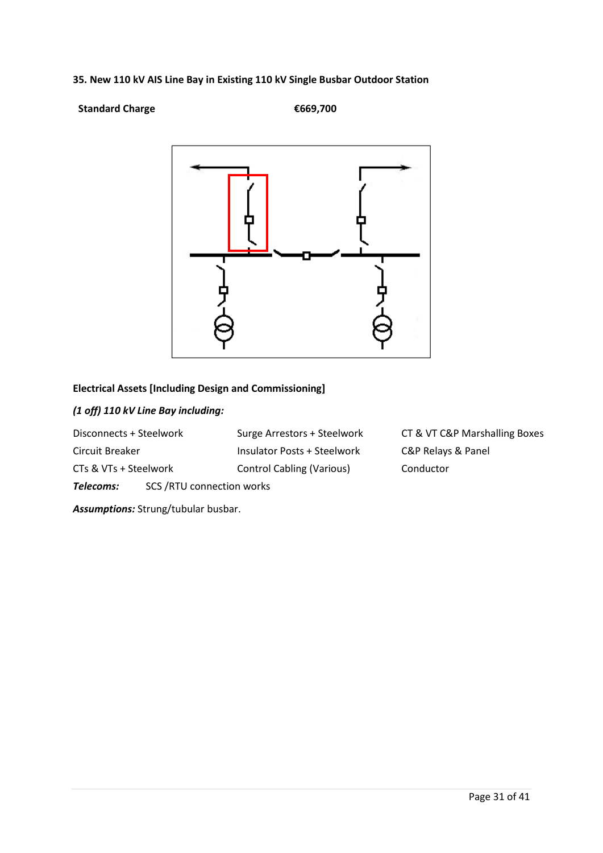# **35. New 110 kV AIS Line Bay in Existing 110 kV Single Busbar Outdoor Station**

#### **Standard Charge €669,700**



# **Electrical Assets [Including Design and Commissioning]**

# *(1 off) 110 kV Line Bay including:*

| Disconnects + Steelwork |                            | Surge Arrestors + Steelwork      | CT & VT C&P Marshalling Boxes |
|-------------------------|----------------------------|----------------------------------|-------------------------------|
| Circuit Breaker         |                            | Insulator Posts + Steelwork      | C&P Relays & Panel            |
| CTs & VTs + Steelwork   |                            | <b>Control Cabling (Various)</b> | Conductor                     |
| Telecoms:               | SCS / RTU connection works |                                  |                               |

*Assumptions:* Strung/tubular busbar.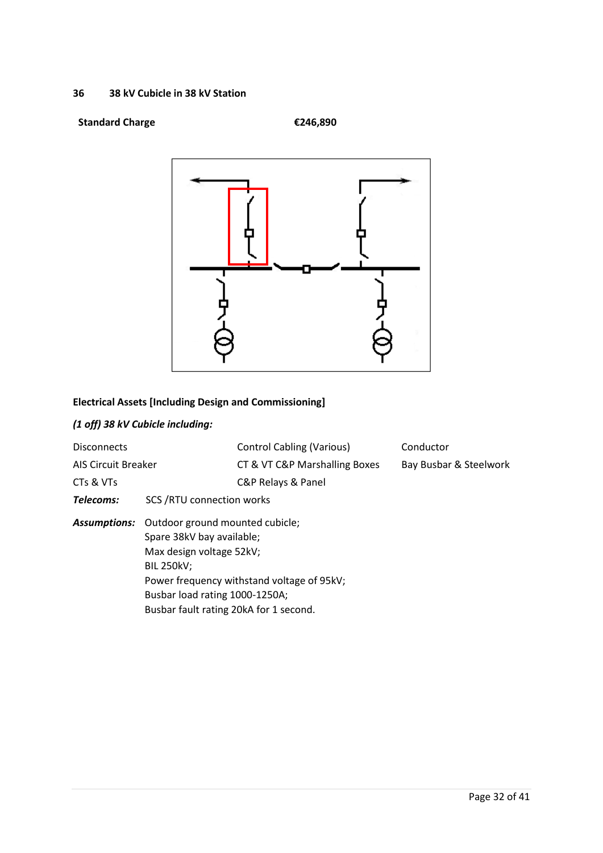#### **36 38 kV Cubicle in 38 kV Station**

# **Standard Charge €246,890**



# **Electrical Assets [Including Design and Commissioning]**

# *(1 off) 38 kV Cubicle including:*

| <b>Disconnects</b><br><b>AIS Circuit Breaker</b> |                                                                                                                                                                                                               | <b>Control Cabling (Various)</b><br>CT & VT C&P Marshalling Boxes | Conductor<br>Bay Busbar & Steelwork |
|--------------------------------------------------|---------------------------------------------------------------------------------------------------------------------------------------------------------------------------------------------------------------|-------------------------------------------------------------------|-------------------------------------|
| CTs & VTs                                        |                                                                                                                                                                                                               | C&P Relays & Panel                                                |                                     |
| Telecoms:                                        | <b>SCS /RTU connection works</b>                                                                                                                                                                              |                                                                   |                                     |
|                                                  | <b>Assumptions:</b> Outdoor ground mounted cubicle;<br>Spare 38kV bay available;<br>Max design voltage 52kV;<br><b>BIL 250kV:</b><br>Busbar load rating 1000-1250A;<br>Busbar fault rating 20kA for 1 second. | Power frequency withstand voltage of 95kV;                        |                                     |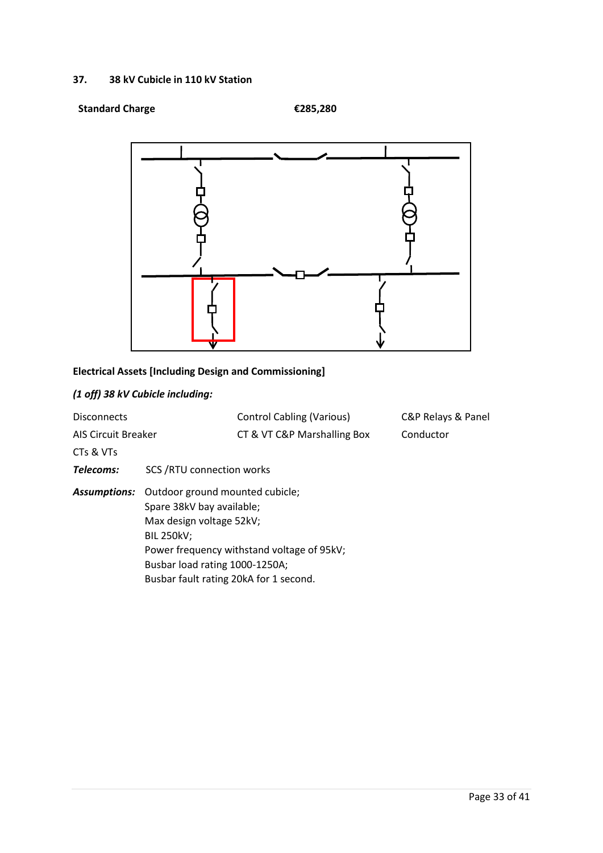#### **37. 38 kV Cubicle in 110 kV Station**

#### **Standard Charge €285,280**



# **Electrical Assets [Including Design and Commissioning]**

# *(1 off) 38 kV Cubicle including:*

| <b>Disconnects</b>         |                                                                                                                                                                                           | <b>Control Cabling (Various)</b>           | C&P Relays & Panel |
|----------------------------|-------------------------------------------------------------------------------------------------------------------------------------------------------------------------------------------|--------------------------------------------|--------------------|
| <b>AIS Circuit Breaker</b> |                                                                                                                                                                                           | CT & VT C&P Marshalling Box                | Conductor          |
| CTs & VTs                  |                                                                                                                                                                                           |                                            |                    |
| Telecoms:                  | <b>SCS /RTU connection works</b>                                                                                                                                                          |                                            |                    |
| Assumptions:               | Outdoor ground mounted cubicle;<br>Spare 38kV bay available;<br>Max design voltage 52kV;<br><b>BIL 250kV;</b><br>Busbar load rating 1000-1250A;<br>Busbar fault rating 20kA for 1 second. | Power frequency withstand voltage of 95kV; |                    |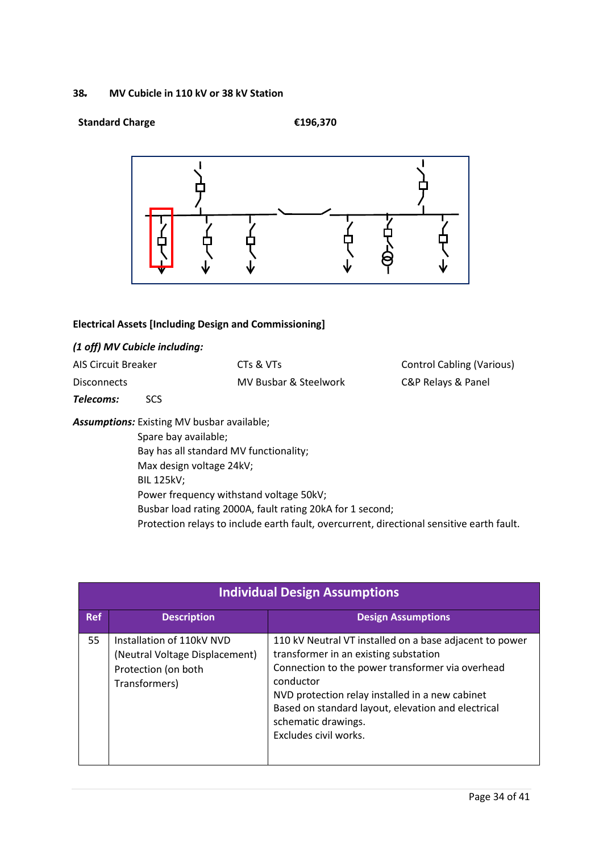#### **38. MV Cubicle in 110 kV or 38 kV Station**

#### **Standard Charge €196,370**



#### **Electrical Assets [Including Design and Commissioning]**

# *(1 off) MV Cubicle including:*

| <b>AIS Circuit Breaker</b>                                            |                                                   | CTs & VTs                               | <b>Control Cabling (Various)</b> |
|-----------------------------------------------------------------------|---------------------------------------------------|-----------------------------------------|----------------------------------|
| <b>Disconnects</b>                                                    |                                                   | <b>MV Busbar &amp; Steelwork</b>        | C&P Relays & Panel               |
| Telecoms:                                                             | SCS.                                              |                                         |                                  |
|                                                                       | <b>Assumptions:</b> Existing MV busbar available; |                                         |                                  |
| Spare bay available;<br>Max design voltage 24kV;<br><b>BIL 125kV;</b> |                                                   |                                         |                                  |
|                                                                       |                                                   | Bay has all standard MV functionality;  |                                  |
|                                                                       |                                                   |                                         |                                  |
|                                                                       |                                                   |                                         |                                  |
|                                                                       |                                                   | Power frequency withstand voltage 50kV; |                                  |

Busbar load rating 2000A, fault rating 20kA for 1 second;

Protection relays to include earth fault, overcurrent, directional sensitive earth fault.

|            | <b>Individual Design Assumptions</b>                                                                |                                                                                                                                                                                                                                                                                                                            |  |
|------------|-----------------------------------------------------------------------------------------------------|----------------------------------------------------------------------------------------------------------------------------------------------------------------------------------------------------------------------------------------------------------------------------------------------------------------------------|--|
| <b>Ref</b> | <b>Description</b>                                                                                  | <b>Design Assumptions</b>                                                                                                                                                                                                                                                                                                  |  |
| 55         | Installation of 110kV NVD<br>(Neutral Voltage Displacement)<br>Protection (on both<br>Transformers) | 110 kV Neutral VT installed on a base adjacent to power<br>transformer in an existing substation<br>Connection to the power transformer via overhead<br>conductor<br>NVD protection relay installed in a new cabinet<br>Based on standard layout, elevation and electrical<br>schematic drawings.<br>Excludes civil works. |  |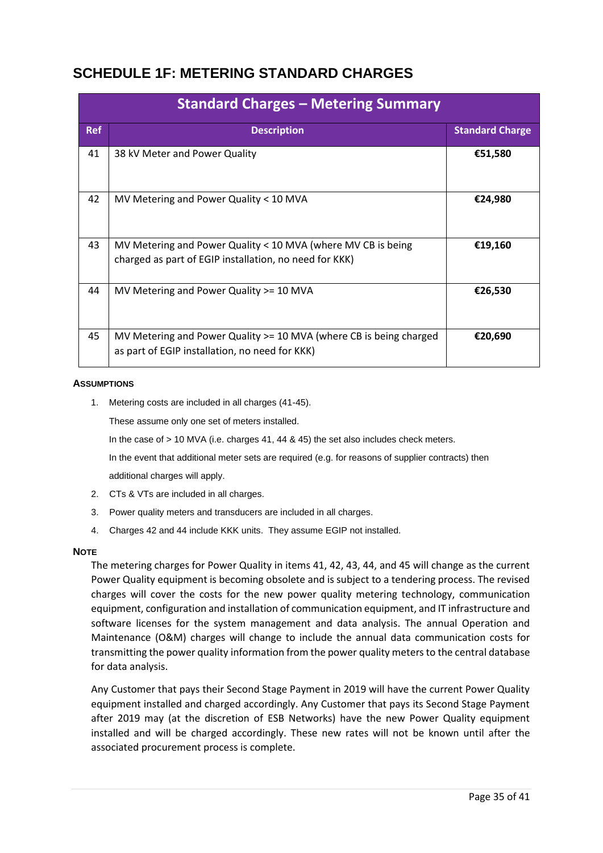# <span id="page-34-0"></span>**SCHEDULE 1F: METERING STANDARD CHARGES**

|            | <b>Standard Charges - Metering Summary</b>                                                                             |                        |
|------------|------------------------------------------------------------------------------------------------------------------------|------------------------|
| <b>Ref</b> | <b>Description</b>                                                                                                     | <b>Standard Charge</b> |
| 41         | 38 kV Meter and Power Quality                                                                                          | €51,580                |
| 42         | MV Metering and Power Quality < 10 MVA                                                                                 | €24,980                |
| 43         | MV Metering and Power Quality < 10 MVA (where MV CB is being<br>charged as part of EGIP installation, no need for KKK) | €19,160                |
| 44         | MV Metering and Power Quality >= 10 MVA                                                                                | €26,530                |
| 45         | MV Metering and Power Quality >= 10 MVA (where CB is being charged<br>as part of EGIP installation, no need for KKK)   | €20,690                |

#### **ASSUMPTIONS**

1. Metering costs are included in all charges (41-45).

These assume only one set of meters installed.

In the case of > 10 MVA (i.e. charges 41, 44 & 45) the set also includes check meters.

In the event that additional meter sets are required (e.g. for reasons of supplier contracts) then additional charges will apply.

- 2. CTs & VTs are included in all charges.
- 3. Power quality meters and transducers are included in all charges.
- 4. Charges 42 and 44 include KKK units. They assume EGIP not installed.

#### **NOTE**

The metering charges for Power Quality in items 41, 42, 43, 44, and 45 will change as the current Power Quality equipment is becoming obsolete and is subject to a tendering process. The revised charges will cover the costs for the new power quality metering technology, communication equipment, configuration and installation of communication equipment, and IT infrastructure and software licenses for the system management and data analysis. The annual Operation and Maintenance (O&M) charges will change to include the annual data communication costs for transmitting the power quality information from the power quality meters to the central database for data analysis.

Any Customer that pays their Second Stage Payment in 2019 will have the current Power Quality equipment installed and charged accordingly. Any Customer that pays its Second Stage Payment after 2019 may (at the discretion of ESB Networks) have the new Power Quality equipment installed and will be charged accordingly. These new rates will not be known until after the associated procurement process is complete.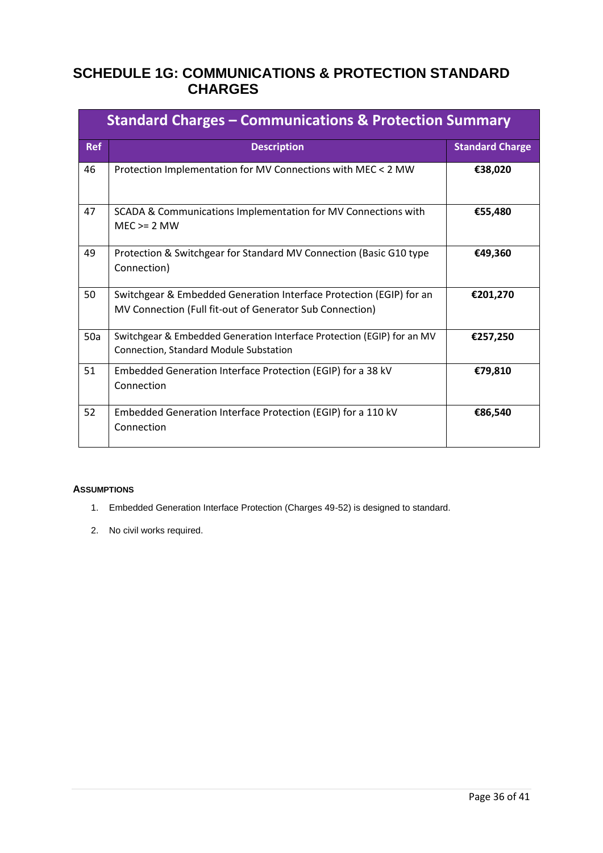# <span id="page-35-0"></span>**SCHEDULE 1G: COMMUNICATIONS & PROTECTION STANDARD CHARGES**

|            | <b>Standard Charges - Communications &amp; Protection Summary</b>                                                               |                        |
|------------|---------------------------------------------------------------------------------------------------------------------------------|------------------------|
| <b>Ref</b> | <b>Description</b>                                                                                                              | <b>Standard Charge</b> |
| 46         | Protection Implementation for MV Connections with MEC < 2 MW                                                                    | €38,020                |
| 47         | SCADA & Communications Implementation for MV Connections with<br>$MEC \ge 2 MW$                                                 | €55,480                |
| 49         | Protection & Switchgear for Standard MV Connection (Basic G10 type<br>Connection)                                               | €49,360                |
| 50         | Switchgear & Embedded Generation Interface Protection (EGIP) for an<br>MV Connection (Full fit-out of Generator Sub Connection) | €201,270               |
| 50a        | Switchgear & Embedded Generation Interface Protection (EGIP) for an MV<br><b>Connection, Standard Module Substation</b>         | €257,250               |
| 51         | Embedded Generation Interface Protection (EGIP) for a 38 kV<br>Connection                                                       | €79,810                |
| 52         | Embedded Generation Interface Protection (EGIP) for a 110 kV<br>Connection                                                      | €86,540                |

#### **ASSUMPTIONS**

- 1. Embedded Generation Interface Protection (Charges 49-52) is designed to standard.
- 2. No civil works required.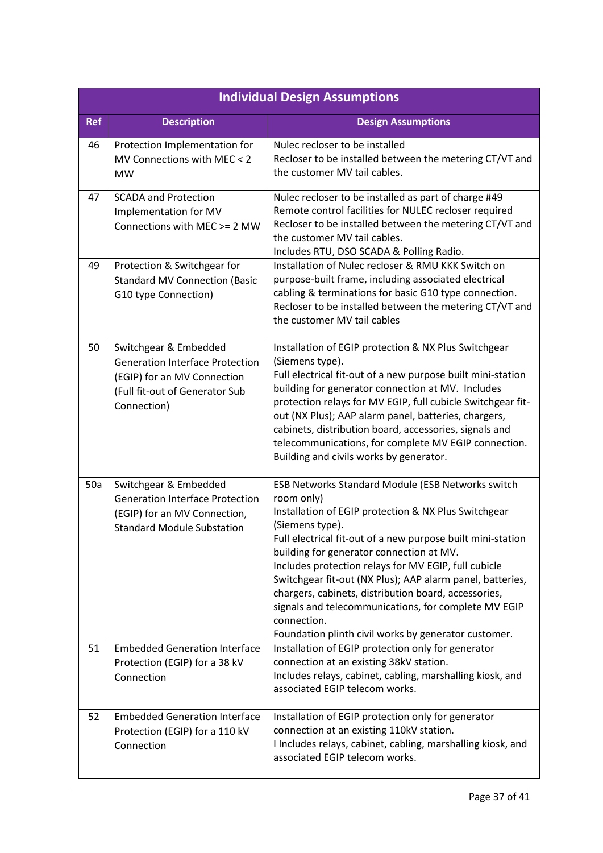|            | <b>Individual Design Assumptions</b>                                                                                                                                         |                                                                                                                                                                                                                                                                                                                                                                                                                                                                                                                                                                                                                         |  |
|------------|------------------------------------------------------------------------------------------------------------------------------------------------------------------------------|-------------------------------------------------------------------------------------------------------------------------------------------------------------------------------------------------------------------------------------------------------------------------------------------------------------------------------------------------------------------------------------------------------------------------------------------------------------------------------------------------------------------------------------------------------------------------------------------------------------------------|--|
| <b>Ref</b> | <b>Description</b>                                                                                                                                                           | <b>Design Assumptions</b>                                                                                                                                                                                                                                                                                                                                                                                                                                                                                                                                                                                               |  |
| 46         | Protection Implementation for<br>MV Connections with MEC < 2<br><b>MW</b>                                                                                                    | Nulec recloser to be installed<br>Recloser to be installed between the metering CT/VT and<br>the customer MV tail cables.                                                                                                                                                                                                                                                                                                                                                                                                                                                                                               |  |
| 47         | <b>SCADA and Protection</b><br>Implementation for MV<br>Connections with MEC >= 2 MW                                                                                         | Nulec recloser to be installed as part of charge #49<br>Remote control facilities for NULEC recloser required<br>Recloser to be installed between the metering CT/VT and<br>the customer MV tail cables.<br>Includes RTU, DSO SCADA & Polling Radio.                                                                                                                                                                                                                                                                                                                                                                    |  |
| 49         | Protection & Switchgear for<br><b>Standard MV Connection (Basic</b><br>G10 type Connection)                                                                                  | Installation of Nulec recloser & RMU KKK Switch on<br>purpose-built frame, including associated electrical<br>cabling & terminations for basic G10 type connection.<br>Recloser to be installed between the metering CT/VT and<br>the customer MV tail cables                                                                                                                                                                                                                                                                                                                                                           |  |
| 50         | Switchgear & Embedded<br><b>Generation Interface Protection</b><br>(EGIP) for an MV Connection<br>(Full fit-out of Generator Sub<br>Connection)                              | Installation of EGIP protection & NX Plus Switchgear<br>(Siemens type).<br>Full electrical fit-out of a new purpose built mini-station<br>building for generator connection at MV. Includes<br>protection relays for MV EGIP, full cubicle Switchgear fit-<br>out (NX Plus); AAP alarm panel, batteries, chargers,<br>cabinets, distribution board, accessories, signals and<br>telecommunications, for complete MV EGIP connection.<br>Building and civils works by generator.                                                                                                                                         |  |
| 50a<br>51  | Switchgear & Embedded<br><b>Generation Interface Protection</b><br>(EGIP) for an MV Connection,<br><b>Standard Module Substation</b><br><b>Embedded Generation Interface</b> | ESB Networks Standard Module (ESB Networks switch<br>room only)<br>Installation of EGIP protection & NX Plus Switchgear<br>(Siemens type).<br>Full electrical fit-out of a new purpose built mini-station<br>building for generator connection at MV.<br>Includes protection relays for MV EGIP, full cubicle<br>Switchgear fit-out (NX Plus); AAP alarm panel, batteries,<br>chargers, cabinets, distribution board, accessories,<br>signals and telecommunications, for complete MV EGIP<br>connection.<br>Foundation plinth civil works by generator customer.<br>Installation of EGIP protection only for generator |  |
|            | Protection (EGIP) for a 38 kV<br>Connection                                                                                                                                  | connection at an existing 38kV station.<br>Includes relays, cabinet, cabling, marshalling kiosk, and<br>associated EGIP telecom works.                                                                                                                                                                                                                                                                                                                                                                                                                                                                                  |  |
| 52         | <b>Embedded Generation Interface</b><br>Protection (EGIP) for a 110 kV<br>Connection                                                                                         | Installation of EGIP protection only for generator<br>connection at an existing 110kV station.<br>I Includes relays, cabinet, cabling, marshalling kiosk, and<br>associated EGIP telecom works.                                                                                                                                                                                                                                                                                                                                                                                                                         |  |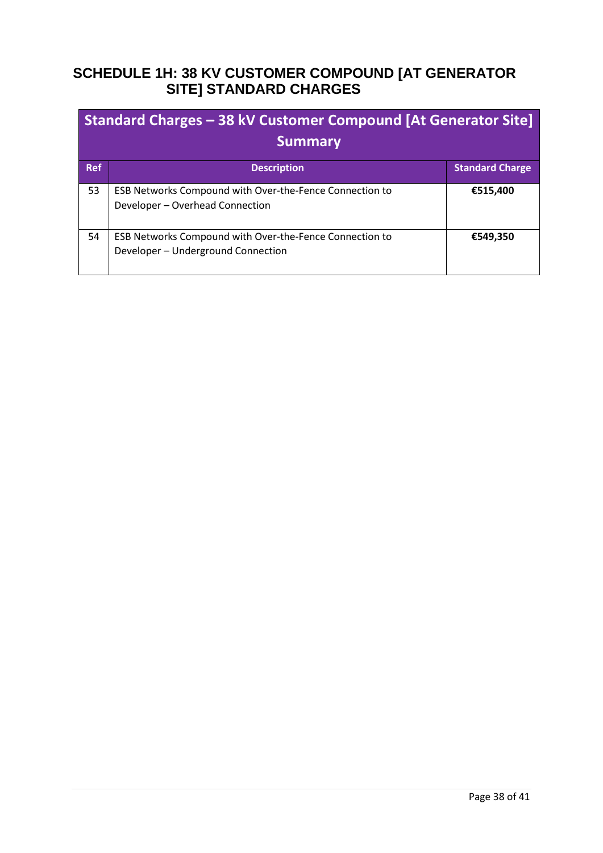# <span id="page-37-0"></span>**SCHEDULE 1H: 38 KV CUSTOMER COMPOUND [AT GENERATOR SITE] STANDARD CHARGES**

| Standard Charges – 38 kV Customer Compound [At Generator Site]<br><b>Summary</b> |                                                                                               |                        |
|----------------------------------------------------------------------------------|-----------------------------------------------------------------------------------------------|------------------------|
| <b>Ref</b>                                                                       | <b>Description</b>                                                                            | <b>Standard Charge</b> |
| 53                                                                               | ESB Networks Compound with Over-the-Fence Connection to<br>Developer - Overhead Connection    | €515,400               |
| 54                                                                               | ESB Networks Compound with Over-the-Fence Connection to<br>Developer - Underground Connection | €549,350               |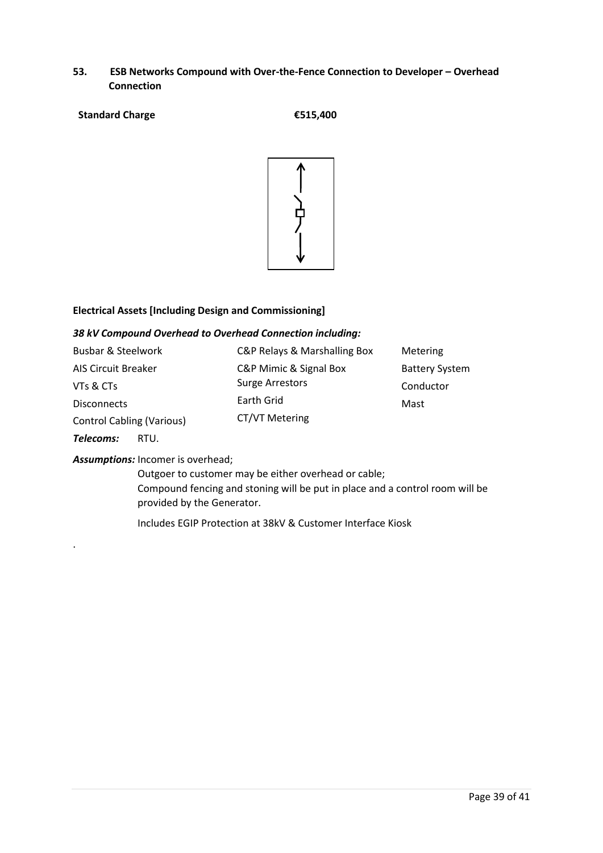- **53. ESB Networks Compound with Over-the-Fence Connection to Developer – Overhead Connection**
- **Standard Charge €515,400**



#### **Electrical Assets [Including Design and Commissioning]**

#### *38 kV Compound Overhead to Overhead Connection including:*

| Busbar & Steelwork               | C&P Relays & Marshalling Box | Metering              |
|----------------------------------|------------------------------|-----------------------|
| <b>AIS Circuit Breaker</b>       | C&P Mimic & Signal Box       | <b>Battery System</b> |
| VTs & CTs                        | <b>Surge Arrestors</b>       | Conductor             |
| <b>Disconnects</b>               | Earth Grid                   | Mast                  |
| <b>Control Cabling (Various)</b> | CT/VT Metering               |                       |

*Telecoms:* RTU.

.

#### *Assumptions:* Incomer is overhead;

Outgoer to customer may be either overhead or cable; Compound fencing and stoning will be put in place and a control room will be provided by the Generator.

Includes EGIP Protection at 38kV & Customer Interface Kiosk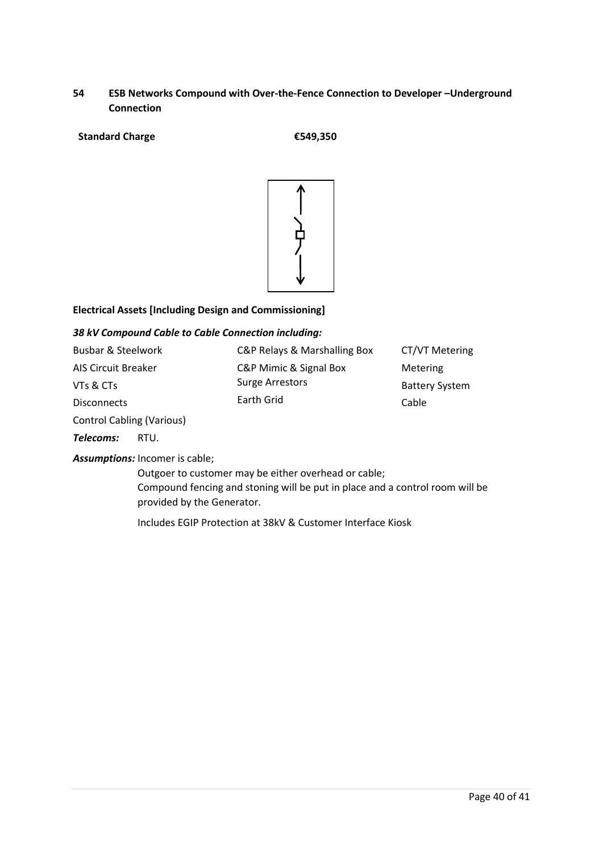### **54 ESB Networks Compound with Over-the-Fence Connection to Developer –Underground Connection**

#### **Standard Charge €549,350**



#### **Electrical Assets [Including Design and Commissioning]**

#### *38 kV Compound Cable to Cable Connection including:*

| Busbar & Steelwork  | C&P Relays & Marshalling Box | CT/VT Metering        |
|---------------------|------------------------------|-----------------------|
| AIS Circuit Breaker | C&P Mimic & Signal Box       | Metering              |
| VTs & CTs           | <b>Surge Arrestors</b>       | <b>Battery System</b> |
| <b>Disconnects</b>  | Earth Grid                   | Cable                 |
|                     |                              |                       |

Control Cabling (Various)

*Telecoms:* RTU.

#### *Assumptions:* Incomer is cable;

Outgoer to customer may be either overhead or cable; Compound fencing and stoning will be put in place and a control room will be provided by the Generator.

Includes EGIP Protection at 38kV & Customer Interface Kiosk